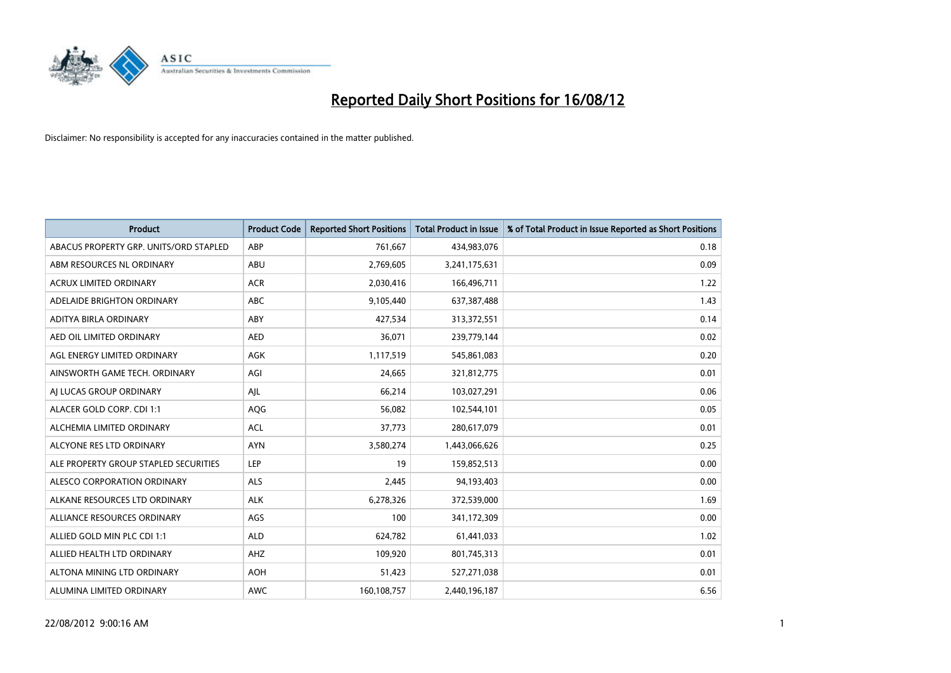

| <b>Product</b>                         | <b>Product Code</b> | <b>Reported Short Positions</b> | <b>Total Product in Issue</b> | % of Total Product in Issue Reported as Short Positions |
|----------------------------------------|---------------------|---------------------------------|-------------------------------|---------------------------------------------------------|
| ABACUS PROPERTY GRP. UNITS/ORD STAPLED | ABP                 | 761,667                         | 434,983,076                   | 0.18                                                    |
| ABM RESOURCES NL ORDINARY              | ABU                 | 2,769,605                       | 3,241,175,631                 | 0.09                                                    |
| <b>ACRUX LIMITED ORDINARY</b>          | <b>ACR</b>          | 2,030,416                       | 166,496,711                   | 1.22                                                    |
| ADELAIDE BRIGHTON ORDINARY             | <b>ABC</b>          | 9,105,440                       | 637,387,488                   | 1.43                                                    |
| ADITYA BIRLA ORDINARY                  | ABY                 | 427,534                         | 313,372,551                   | 0.14                                                    |
| AED OIL LIMITED ORDINARY               | <b>AED</b>          | 36,071                          | 239,779,144                   | 0.02                                                    |
| AGL ENERGY LIMITED ORDINARY            | <b>AGK</b>          | 1,117,519                       | 545,861,083                   | 0.20                                                    |
| AINSWORTH GAME TECH. ORDINARY          | AGI                 | 24,665                          | 321,812,775                   | 0.01                                                    |
| AI LUCAS GROUP ORDINARY                | AJL                 | 66,214                          | 103,027,291                   | 0.06                                                    |
| ALACER GOLD CORP. CDI 1:1              | AQG                 | 56,082                          | 102,544,101                   | 0.05                                                    |
| ALCHEMIA LIMITED ORDINARY              | <b>ACL</b>          | 37,773                          | 280,617,079                   | 0.01                                                    |
| ALCYONE RES LTD ORDINARY               | <b>AYN</b>          | 3,580,274                       | 1,443,066,626                 | 0.25                                                    |
| ALE PROPERTY GROUP STAPLED SECURITIES  | LEP                 | 19                              | 159,852,513                   | 0.00                                                    |
| ALESCO CORPORATION ORDINARY            | ALS                 | 2,445                           | 94,193,403                    | 0.00                                                    |
| ALKANE RESOURCES LTD ORDINARY          | <b>ALK</b>          | 6,278,326                       | 372,539,000                   | 1.69                                                    |
| ALLIANCE RESOURCES ORDINARY            | AGS                 | 100                             | 341,172,309                   | 0.00                                                    |
| ALLIED GOLD MIN PLC CDI 1:1            | <b>ALD</b>          | 624,782                         | 61,441,033                    | 1.02                                                    |
| ALLIED HEALTH LTD ORDINARY             | AHZ                 | 109,920                         | 801,745,313                   | 0.01                                                    |
| ALTONA MINING LTD ORDINARY             | <b>AOH</b>          | 51,423                          | 527,271,038                   | 0.01                                                    |
| ALUMINA LIMITED ORDINARY               | <b>AWC</b>          | 160,108,757                     | 2,440,196,187                 | 6.56                                                    |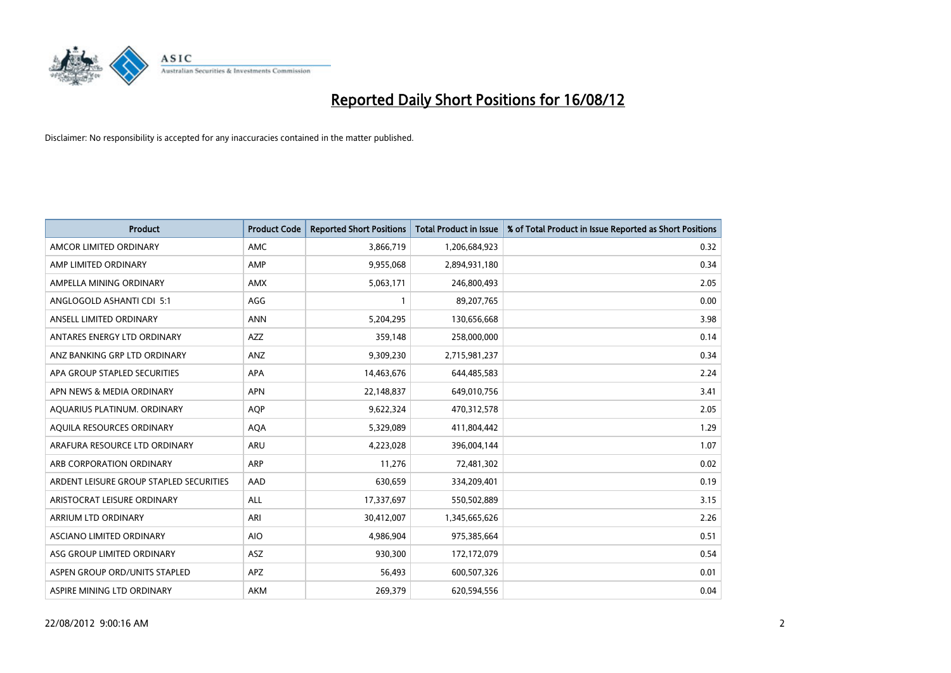

| <b>Product</b>                          | <b>Product Code</b> | <b>Reported Short Positions</b> | <b>Total Product in Issue</b> | % of Total Product in Issue Reported as Short Positions |
|-----------------------------------------|---------------------|---------------------------------|-------------------------------|---------------------------------------------------------|
| AMCOR LIMITED ORDINARY                  | <b>AMC</b>          | 3,866,719                       | 1,206,684,923                 | 0.32                                                    |
| AMP LIMITED ORDINARY                    | AMP                 | 9,955,068                       | 2,894,931,180                 | 0.34                                                    |
| AMPELLA MINING ORDINARY                 | <b>AMX</b>          | 5,063,171                       | 246,800,493                   | 2.05                                                    |
| ANGLOGOLD ASHANTI CDI 5:1               | AGG                 |                                 | 89,207,765                    | 0.00                                                    |
| ANSELL LIMITED ORDINARY                 | <b>ANN</b>          | 5,204,295                       | 130,656,668                   | 3.98                                                    |
| ANTARES ENERGY LTD ORDINARY             | <b>AZZ</b>          | 359,148                         | 258,000,000                   | 0.14                                                    |
| ANZ BANKING GRP LTD ORDINARY            | <b>ANZ</b>          | 9,309,230                       | 2,715,981,237                 | 0.34                                                    |
| APA GROUP STAPLED SECURITIES            | <b>APA</b>          | 14,463,676                      | 644,485,583                   | 2.24                                                    |
| APN NEWS & MEDIA ORDINARY               | <b>APN</b>          | 22,148,837                      | 649,010,756                   | 3.41                                                    |
| AQUARIUS PLATINUM. ORDINARY             | <b>AOP</b>          | 9,622,324                       | 470,312,578                   | 2.05                                                    |
| AQUILA RESOURCES ORDINARY               | <b>AQA</b>          | 5,329,089                       | 411,804,442                   | 1.29                                                    |
| ARAFURA RESOURCE LTD ORDINARY           | <b>ARU</b>          | 4,223,028                       | 396,004,144                   | 1.07                                                    |
| ARB CORPORATION ORDINARY                | <b>ARP</b>          | 11,276                          | 72,481,302                    | 0.02                                                    |
| ARDENT LEISURE GROUP STAPLED SECURITIES | AAD                 | 630,659                         | 334,209,401                   | 0.19                                                    |
| ARISTOCRAT LEISURE ORDINARY             | <b>ALL</b>          | 17,337,697                      | 550,502,889                   | 3.15                                                    |
| ARRIUM LTD ORDINARY                     | ARI                 | 30,412,007                      | 1,345,665,626                 | 2.26                                                    |
| ASCIANO LIMITED ORDINARY                | <b>AIO</b>          | 4,986,904                       | 975,385,664                   | 0.51                                                    |
| ASG GROUP LIMITED ORDINARY              | <b>ASZ</b>          | 930,300                         | 172,172,079                   | 0.54                                                    |
| ASPEN GROUP ORD/UNITS STAPLED           | <b>APZ</b>          | 56,493                          | 600,507,326                   | 0.01                                                    |
| ASPIRE MINING LTD ORDINARY              | <b>AKM</b>          | 269,379                         | 620,594,556                   | 0.04                                                    |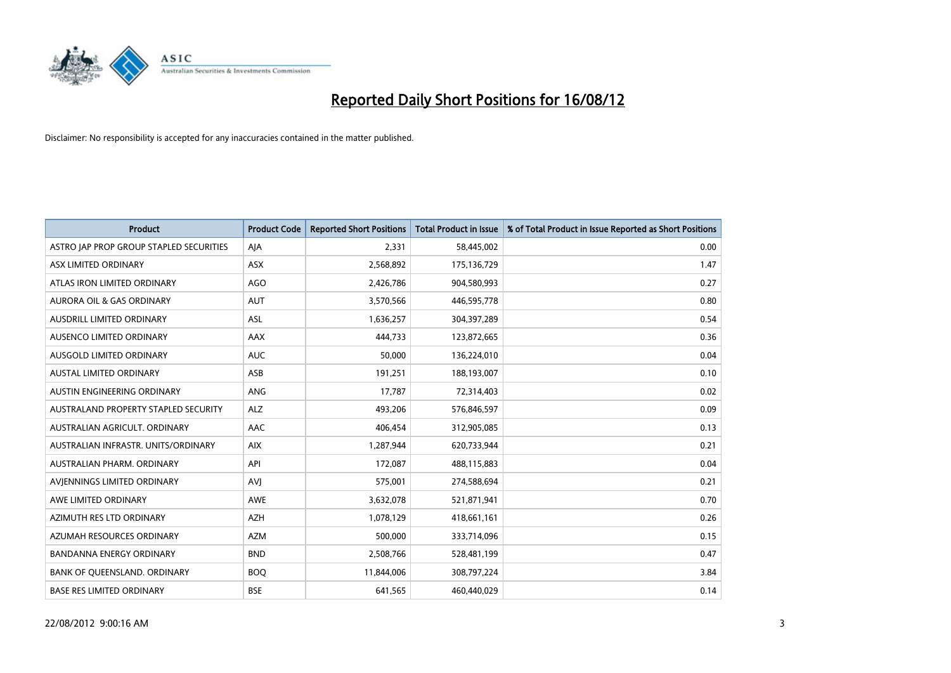

| <b>Product</b>                          | <b>Product Code</b> | <b>Reported Short Positions</b> | <b>Total Product in Issue</b> | % of Total Product in Issue Reported as Short Positions |
|-----------------------------------------|---------------------|---------------------------------|-------------------------------|---------------------------------------------------------|
| ASTRO JAP PROP GROUP STAPLED SECURITIES | AJA                 | 2,331                           | 58,445,002                    | 0.00                                                    |
| ASX LIMITED ORDINARY                    | <b>ASX</b>          | 2,568,892                       | 175,136,729                   | 1.47                                                    |
| ATLAS IRON LIMITED ORDINARY             | <b>AGO</b>          | 2,426,786                       | 904,580,993                   | 0.27                                                    |
| AURORA OIL & GAS ORDINARY               | <b>AUT</b>          | 3,570,566                       | 446,595,778                   | 0.80                                                    |
| AUSDRILL LIMITED ORDINARY               | ASL                 | 1,636,257                       | 304,397,289                   | 0.54                                                    |
| AUSENCO LIMITED ORDINARY                | <b>AAX</b>          | 444.733                         | 123,872,665                   | 0.36                                                    |
| AUSGOLD LIMITED ORDINARY                | <b>AUC</b>          | 50,000                          | 136,224,010                   | 0.04                                                    |
| AUSTAL LIMITED ORDINARY                 | ASB                 | 191,251                         | 188,193,007                   | 0.10                                                    |
| AUSTIN ENGINEERING ORDINARY             | <b>ANG</b>          | 17,787                          | 72,314,403                    | 0.02                                                    |
| AUSTRALAND PROPERTY STAPLED SECURITY    | <b>ALZ</b>          | 493,206                         | 576,846,597                   | 0.09                                                    |
| AUSTRALIAN AGRICULT. ORDINARY           | AAC                 | 406,454                         | 312,905,085                   | 0.13                                                    |
| AUSTRALIAN INFRASTR, UNITS/ORDINARY     | <b>AIX</b>          | 1,287,944                       | 620,733,944                   | 0.21                                                    |
| AUSTRALIAN PHARM. ORDINARY              | API                 | 172,087                         | 488,115,883                   | 0.04                                                    |
| AVIENNINGS LIMITED ORDINARY             | AVI                 | 575,001                         | 274,588,694                   | 0.21                                                    |
| AWE LIMITED ORDINARY                    | <b>AWE</b>          | 3,632,078                       | 521,871,941                   | 0.70                                                    |
| AZIMUTH RES LTD ORDINARY                | <b>AZH</b>          | 1,078,129                       | 418,661,161                   | 0.26                                                    |
| AZUMAH RESOURCES ORDINARY               | <b>AZM</b>          | 500,000                         | 333,714,096                   | 0.15                                                    |
| BANDANNA ENERGY ORDINARY                | <b>BND</b>          | 2,508,766                       | 528,481,199                   | 0.47                                                    |
| BANK OF QUEENSLAND. ORDINARY            | <b>BOQ</b>          | 11,844,006                      | 308,797,224                   | 3.84                                                    |
| <b>BASE RES LIMITED ORDINARY</b>        | <b>BSE</b>          | 641,565                         | 460,440,029                   | 0.14                                                    |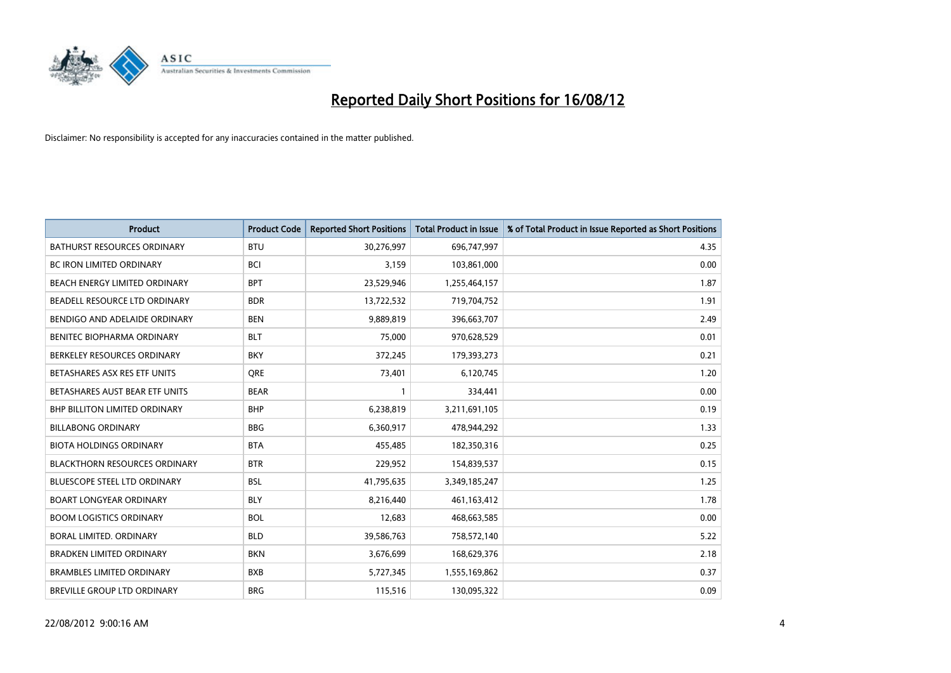

| <b>Product</b>                       | <b>Product Code</b> | <b>Reported Short Positions</b> | <b>Total Product in Issue</b> | % of Total Product in Issue Reported as Short Positions |
|--------------------------------------|---------------------|---------------------------------|-------------------------------|---------------------------------------------------------|
| <b>BATHURST RESOURCES ORDINARY</b>   | <b>BTU</b>          | 30,276,997                      | 696,747,997                   | 4.35                                                    |
| <b>BC IRON LIMITED ORDINARY</b>      | <b>BCI</b>          | 3,159                           | 103,861,000                   | 0.00                                                    |
| <b>BEACH ENERGY LIMITED ORDINARY</b> | <b>BPT</b>          | 23,529,946                      | 1,255,464,157                 | 1.87                                                    |
| BEADELL RESOURCE LTD ORDINARY        | <b>BDR</b>          | 13,722,532                      | 719,704,752                   | 1.91                                                    |
| BENDIGO AND ADELAIDE ORDINARY        | <b>BEN</b>          | 9,889,819                       | 396,663,707                   | 2.49                                                    |
| BENITEC BIOPHARMA ORDINARY           | <b>BLT</b>          | 75,000                          | 970,628,529                   | 0.01                                                    |
| BERKELEY RESOURCES ORDINARY          | <b>BKY</b>          | 372.245                         | 179,393,273                   | 0.21                                                    |
| BETASHARES ASX RES ETF UNITS         | <b>ORE</b>          | 73,401                          | 6,120,745                     | 1.20                                                    |
| BETASHARES AUST BEAR ETF UNITS       | <b>BEAR</b>         |                                 | 334,441                       | 0.00                                                    |
| <b>BHP BILLITON LIMITED ORDINARY</b> | <b>BHP</b>          | 6,238,819                       | 3,211,691,105                 | 0.19                                                    |
| <b>BILLABONG ORDINARY</b>            | <b>BBG</b>          | 6,360,917                       | 478,944,292                   | 1.33                                                    |
| <b>BIOTA HOLDINGS ORDINARY</b>       | <b>BTA</b>          | 455,485                         | 182,350,316                   | 0.25                                                    |
| <b>BLACKTHORN RESOURCES ORDINARY</b> | <b>BTR</b>          | 229,952                         | 154,839,537                   | 0.15                                                    |
| <b>BLUESCOPE STEEL LTD ORDINARY</b>  | <b>BSL</b>          | 41,795,635                      | 3,349,185,247                 | 1.25                                                    |
| <b>BOART LONGYEAR ORDINARY</b>       | <b>BLY</b>          | 8,216,440                       | 461, 163, 412                 | 1.78                                                    |
| <b>BOOM LOGISTICS ORDINARY</b>       | <b>BOL</b>          | 12,683                          | 468,663,585                   | 0.00                                                    |
| BORAL LIMITED, ORDINARY              | <b>BLD</b>          | 39,586,763                      | 758,572,140                   | 5.22                                                    |
| <b>BRADKEN LIMITED ORDINARY</b>      | <b>BKN</b>          | 3,676,699                       | 168,629,376                   | 2.18                                                    |
| <b>BRAMBLES LIMITED ORDINARY</b>     | <b>BXB</b>          | 5,727,345                       | 1,555,169,862                 | 0.37                                                    |
| <b>BREVILLE GROUP LTD ORDINARY</b>   | <b>BRG</b>          | 115,516                         | 130.095.322                   | 0.09                                                    |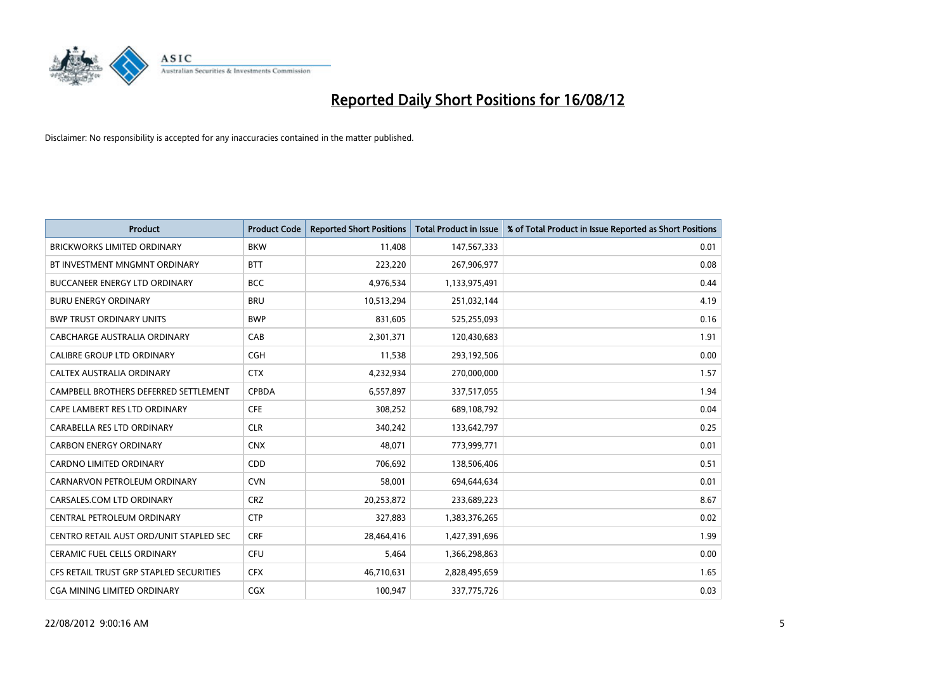

| <b>Product</b>                          | <b>Product Code</b> | <b>Reported Short Positions</b> | <b>Total Product in Issue</b> | % of Total Product in Issue Reported as Short Positions |
|-----------------------------------------|---------------------|---------------------------------|-------------------------------|---------------------------------------------------------|
| <b>BRICKWORKS LIMITED ORDINARY</b>      | <b>BKW</b>          | 11.408                          | 147,567,333                   | 0.01                                                    |
| BT INVESTMENT MNGMNT ORDINARY           | <b>BTT</b>          | 223,220                         | 267,906,977                   | 0.08                                                    |
| <b>BUCCANEER ENERGY LTD ORDINARY</b>    | <b>BCC</b>          | 4,976,534                       | 1,133,975,491                 | 0.44                                                    |
| <b>BURU ENERGY ORDINARY</b>             | <b>BRU</b>          | 10,513,294                      | 251,032,144                   | 4.19                                                    |
| <b>BWP TRUST ORDINARY UNITS</b>         | <b>BWP</b>          | 831,605                         | 525,255,093                   | 0.16                                                    |
| CABCHARGE AUSTRALIA ORDINARY            | CAB                 | 2,301,371                       | 120,430,683                   | 1.91                                                    |
| CALIBRE GROUP LTD ORDINARY              | <b>CGH</b>          | 11,538                          | 293,192,506                   | 0.00                                                    |
| <b>CALTEX AUSTRALIA ORDINARY</b>        | <b>CTX</b>          | 4,232,934                       | 270,000,000                   | 1.57                                                    |
| CAMPBELL BROTHERS DEFERRED SETTLEMENT   | <b>CPBDA</b>        | 6,557,897                       | 337,517,055                   | 1.94                                                    |
| CAPE LAMBERT RES LTD ORDINARY           | <b>CFE</b>          | 308,252                         | 689,108,792                   | 0.04                                                    |
| CARABELLA RES LTD ORDINARY              | <b>CLR</b>          | 340,242                         | 133,642,797                   | 0.25                                                    |
| <b>CARBON ENERGY ORDINARY</b>           | <b>CNX</b>          | 48,071                          | 773,999,771                   | 0.01                                                    |
| <b>CARDNO LIMITED ORDINARY</b>          | <b>CDD</b>          | 706.692                         | 138,506,406                   | 0.51                                                    |
| CARNARVON PETROLEUM ORDINARY            | <b>CVN</b>          | 58,001                          | 694,644,634                   | 0.01                                                    |
| CARSALES.COM LTD ORDINARY               | <b>CRZ</b>          | 20,253,872                      | 233,689,223                   | 8.67                                                    |
| CENTRAL PETROLEUM ORDINARY              | <b>CTP</b>          | 327,883                         | 1,383,376,265                 | 0.02                                                    |
| CENTRO RETAIL AUST ORD/UNIT STAPLED SEC | <b>CRF</b>          | 28,464,416                      | 1,427,391,696                 | 1.99                                                    |
| <b>CERAMIC FUEL CELLS ORDINARY</b>      | CFU                 | 5,464                           | 1,366,298,863                 | 0.00                                                    |
| CFS RETAIL TRUST GRP STAPLED SECURITIES | <b>CFX</b>          | 46,710,631                      | 2,828,495,659                 | 1.65                                                    |
| CGA MINING LIMITED ORDINARY             | <b>CGX</b>          | 100,947                         | 337,775,726                   | 0.03                                                    |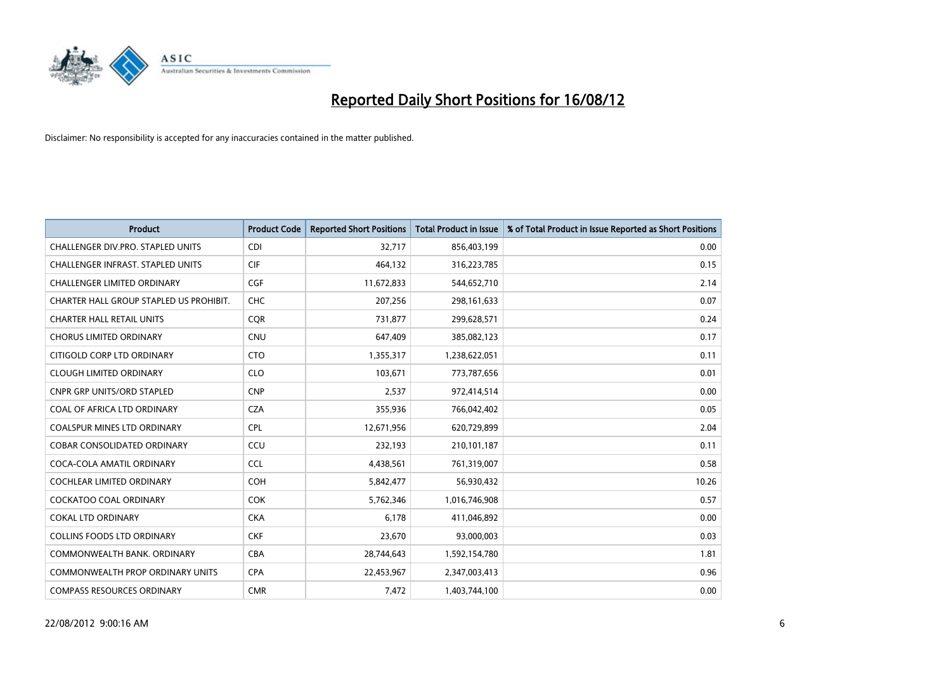

| <b>Product</b>                          | <b>Product Code</b> | <b>Reported Short Positions</b> | <b>Total Product in Issue</b> | % of Total Product in Issue Reported as Short Positions |
|-----------------------------------------|---------------------|---------------------------------|-------------------------------|---------------------------------------------------------|
| CHALLENGER DIV.PRO. STAPLED UNITS       | <b>CDI</b>          | 32,717                          | 856,403,199                   | 0.00                                                    |
| CHALLENGER INFRAST. STAPLED UNITS       | <b>CIF</b>          | 464,132                         | 316,223,785                   | 0.15                                                    |
| <b>CHALLENGER LIMITED ORDINARY</b>      | <b>CGF</b>          | 11,672,833                      | 544,652,710                   | 2.14                                                    |
| CHARTER HALL GROUP STAPLED US PROHIBIT. | <b>CHC</b>          | 207,256                         | 298,161,633                   | 0.07                                                    |
| <b>CHARTER HALL RETAIL UNITS</b>        | <b>COR</b>          | 731,877                         | 299,628,571                   | 0.24                                                    |
| <b>CHORUS LIMITED ORDINARY</b>          | CNU                 | 647,409                         | 385,082,123                   | 0.17                                                    |
| CITIGOLD CORP LTD ORDINARY              | <b>CTO</b>          | 1,355,317                       | 1,238,622,051                 | 0.11                                                    |
| <b>CLOUGH LIMITED ORDINARY</b>          | <b>CLO</b>          | 103,671                         | 773,787,656                   | 0.01                                                    |
| <b>CNPR GRP UNITS/ORD STAPLED</b>       | <b>CNP</b>          | 2,537                           | 972,414,514                   | 0.00                                                    |
| COAL OF AFRICA LTD ORDINARY             | <b>CZA</b>          | 355,936                         | 766,042,402                   | 0.05                                                    |
| COALSPUR MINES LTD ORDINARY             | <b>CPL</b>          | 12,671,956                      | 620,729,899                   | 2.04                                                    |
| <b>COBAR CONSOLIDATED ORDINARY</b>      | CCU                 | 232,193                         | 210,101,187                   | 0.11                                                    |
| COCA-COLA AMATIL ORDINARY               | <b>CCL</b>          | 4,438,561                       | 761,319,007                   | 0.58                                                    |
| <b>COCHLEAR LIMITED ORDINARY</b>        | <b>COH</b>          | 5,842,477                       | 56,930,432                    | 10.26                                                   |
| <b>COCKATOO COAL ORDINARY</b>           | <b>COK</b>          | 5,762,346                       | 1,016,746,908                 | 0.57                                                    |
| <b>COKAL LTD ORDINARY</b>               | <b>CKA</b>          | 6,178                           | 411,046,892                   | 0.00                                                    |
| <b>COLLINS FOODS LTD ORDINARY</b>       | <b>CKF</b>          | 23,670                          | 93,000,003                    | 0.03                                                    |
| COMMONWEALTH BANK, ORDINARY             | <b>CBA</b>          | 28,744,643                      | 1,592,154,780                 | 1.81                                                    |
| <b>COMMONWEALTH PROP ORDINARY UNITS</b> | <b>CPA</b>          | 22,453,967                      | 2,347,003,413                 | 0.96                                                    |
| <b>COMPASS RESOURCES ORDINARY</b>       | <b>CMR</b>          | 7,472                           | 1,403,744,100                 | 0.00                                                    |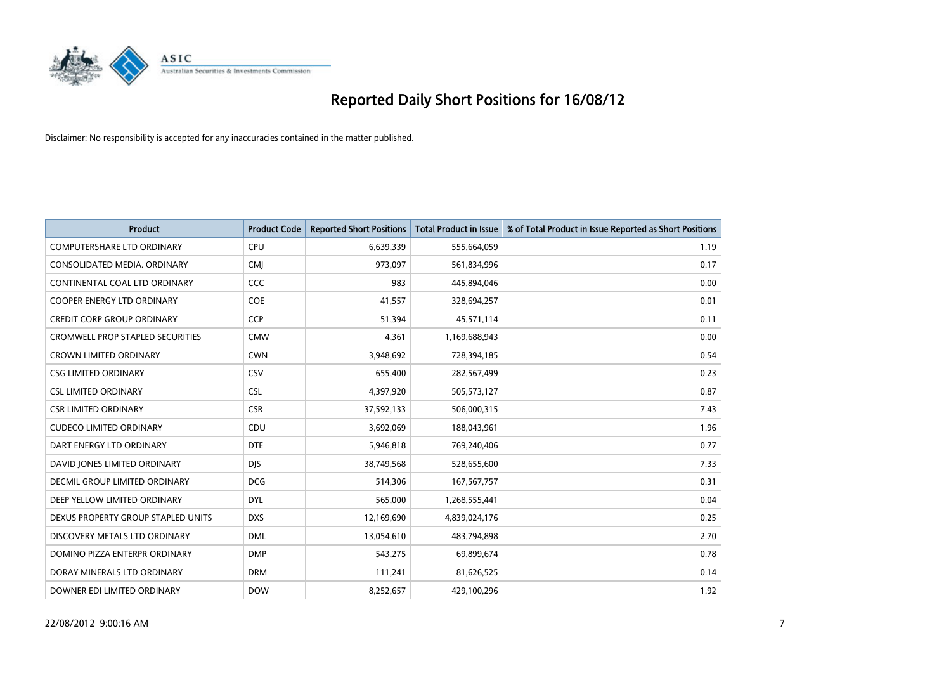

| <b>Product</b>                          | <b>Product Code</b> | <b>Reported Short Positions</b> | <b>Total Product in Issue</b> | % of Total Product in Issue Reported as Short Positions |
|-----------------------------------------|---------------------|---------------------------------|-------------------------------|---------------------------------------------------------|
| <b>COMPUTERSHARE LTD ORDINARY</b>       | <b>CPU</b>          | 6,639,339                       | 555,664,059                   | 1.19                                                    |
| CONSOLIDATED MEDIA. ORDINARY            | <b>CMI</b>          | 973,097                         | 561,834,996                   | 0.17                                                    |
| CONTINENTAL COAL LTD ORDINARY           | CCC                 | 983                             | 445,894,046                   | 0.00                                                    |
| COOPER ENERGY LTD ORDINARY              | <b>COE</b>          | 41,557                          | 328,694,257                   | 0.01                                                    |
| <b>CREDIT CORP GROUP ORDINARY</b>       | <b>CCP</b>          | 51,394                          | 45,571,114                    | 0.11                                                    |
| <b>CROMWELL PROP STAPLED SECURITIES</b> | <b>CMW</b>          | 4,361                           | 1,169,688,943                 | 0.00                                                    |
| <b>CROWN LIMITED ORDINARY</b>           | <b>CWN</b>          | 3,948,692                       | 728,394,185                   | 0.54                                                    |
| <b>CSG LIMITED ORDINARY</b>             | CSV                 | 655,400                         | 282,567,499                   | 0.23                                                    |
| <b>CSL LIMITED ORDINARY</b>             | <b>CSL</b>          | 4,397,920                       | 505,573,127                   | 0.87                                                    |
| <b>CSR LIMITED ORDINARY</b>             | <b>CSR</b>          | 37,592,133                      | 506,000,315                   | 7.43                                                    |
| <b>CUDECO LIMITED ORDINARY</b>          | CDU                 | 3,692,069                       | 188,043,961                   | 1.96                                                    |
| DART ENERGY LTD ORDINARY                | <b>DTE</b>          | 5,946,818                       | 769,240,406                   | 0.77                                                    |
| DAVID JONES LIMITED ORDINARY            | <b>DJS</b>          | 38,749,568                      | 528,655,600                   | 7.33                                                    |
| <b>DECMIL GROUP LIMITED ORDINARY</b>    | <b>DCG</b>          | 514,306                         | 167, 567, 757                 | 0.31                                                    |
| DEEP YELLOW LIMITED ORDINARY            | <b>DYL</b>          | 565,000                         | 1,268,555,441                 | 0.04                                                    |
| DEXUS PROPERTY GROUP STAPLED UNITS      | <b>DXS</b>          | 12,169,690                      | 4,839,024,176                 | 0.25                                                    |
| DISCOVERY METALS LTD ORDINARY           | <b>DML</b>          | 13,054,610                      | 483,794,898                   | 2.70                                                    |
| DOMINO PIZZA ENTERPR ORDINARY           | <b>DMP</b>          | 543,275                         | 69,899,674                    | 0.78                                                    |
| DORAY MINERALS LTD ORDINARY             | <b>DRM</b>          | 111,241                         | 81,626,525                    | 0.14                                                    |
| DOWNER EDI LIMITED ORDINARY             | <b>DOW</b>          | 8,252,657                       | 429,100,296                   | 1.92                                                    |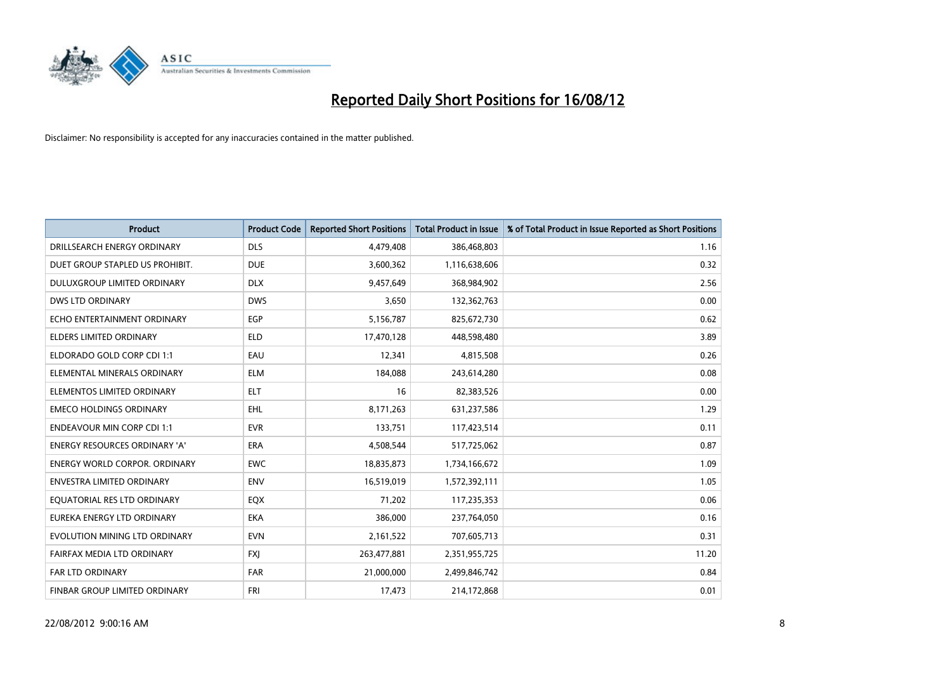

| <b>Product</b>                       | <b>Product Code</b> | <b>Reported Short Positions</b> | <b>Total Product in Issue</b> | % of Total Product in Issue Reported as Short Positions |
|--------------------------------------|---------------------|---------------------------------|-------------------------------|---------------------------------------------------------|
| DRILLSEARCH ENERGY ORDINARY          | <b>DLS</b>          | 4,479,408                       | 386,468,803                   | 1.16                                                    |
| DUET GROUP STAPLED US PROHIBIT.      | <b>DUE</b>          | 3,600,362                       | 1,116,638,606                 | 0.32                                                    |
| <b>DULUXGROUP LIMITED ORDINARY</b>   | <b>DLX</b>          | 9,457,649                       | 368,984,902                   | 2.56                                                    |
| <b>DWS LTD ORDINARY</b>              | <b>DWS</b>          | 3,650                           | 132,362,763                   | 0.00                                                    |
| ECHO ENTERTAINMENT ORDINARY          | EGP                 | 5,156,787                       | 825,672,730                   | 0.62                                                    |
| <b>ELDERS LIMITED ORDINARY</b>       | <b>ELD</b>          | 17,470,128                      | 448,598,480                   | 3.89                                                    |
| ELDORADO GOLD CORP CDI 1:1           | EAU                 | 12,341                          | 4,815,508                     | 0.26                                                    |
| ELEMENTAL MINERALS ORDINARY          | <b>ELM</b>          | 184,088                         | 243,614,280                   | 0.08                                                    |
| ELEMENTOS LIMITED ORDINARY           | <b>ELT</b>          | 16                              | 82,383,526                    | 0.00                                                    |
| <b>EMECO HOLDINGS ORDINARY</b>       | <b>EHL</b>          | 8,171,263                       | 631,237,586                   | 1.29                                                    |
| <b>ENDEAVOUR MIN CORP CDI 1:1</b>    | <b>EVR</b>          | 133,751                         | 117,423,514                   | 0.11                                                    |
| <b>ENERGY RESOURCES ORDINARY 'A'</b> | <b>ERA</b>          | 4,508,544                       | 517,725,062                   | 0.87                                                    |
| <b>ENERGY WORLD CORPOR, ORDINARY</b> | <b>EWC</b>          | 18,835,873                      | 1,734,166,672                 | 1.09                                                    |
| <b>ENVESTRA LIMITED ORDINARY</b>     | <b>ENV</b>          | 16,519,019                      | 1,572,392,111                 | 1.05                                                    |
| EQUATORIAL RES LTD ORDINARY          | EQX                 | 71,202                          | 117,235,353                   | 0.06                                                    |
| EUREKA ENERGY LTD ORDINARY           | <b>EKA</b>          | 386,000                         | 237,764,050                   | 0.16                                                    |
| EVOLUTION MINING LTD ORDINARY        | <b>EVN</b>          | 2,161,522                       | 707,605,713                   | 0.31                                                    |
| FAIRFAX MEDIA LTD ORDINARY           | <b>FXI</b>          | 263,477,881                     | 2,351,955,725                 | 11.20                                                   |
| <b>FAR LTD ORDINARY</b>              | <b>FAR</b>          | 21,000,000                      | 2,499,846,742                 | 0.84                                                    |
| <b>FINBAR GROUP LIMITED ORDINARY</b> | <b>FRI</b>          | 17,473                          | 214,172,868                   | 0.01                                                    |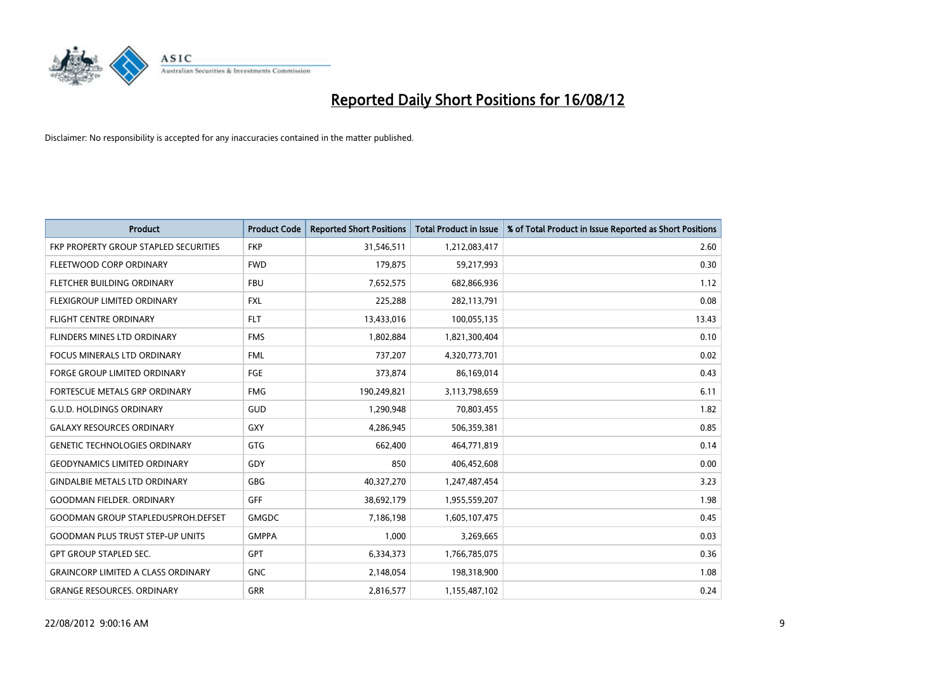

| <b>Product</b>                            | <b>Product Code</b> | <b>Reported Short Positions</b> | <b>Total Product in Issue</b> | % of Total Product in Issue Reported as Short Positions |
|-------------------------------------------|---------------------|---------------------------------|-------------------------------|---------------------------------------------------------|
| FKP PROPERTY GROUP STAPLED SECURITIES     | <b>FKP</b>          | 31,546,511                      | 1,212,083,417                 | 2.60                                                    |
| FLEETWOOD CORP ORDINARY                   | <b>FWD</b>          | 179,875                         | 59,217,993                    | 0.30                                                    |
| FLETCHER BUILDING ORDINARY                | <b>FBU</b>          | 7,652,575                       | 682,866,936                   | 1.12                                                    |
| FLEXIGROUP LIMITED ORDINARY               | <b>FXL</b>          | 225,288                         | 282,113,791                   | 0.08                                                    |
| <b>FLIGHT CENTRE ORDINARY</b>             | <b>FLT</b>          | 13,433,016                      | 100,055,135                   | 13.43                                                   |
| FLINDERS MINES LTD ORDINARY               | <b>FMS</b>          | 1,802,884                       | 1,821,300,404                 | 0.10                                                    |
| <b>FOCUS MINERALS LTD ORDINARY</b>        | <b>FML</b>          | 737,207                         | 4,320,773,701                 | 0.02                                                    |
| FORGE GROUP LIMITED ORDINARY              | FGE                 | 373,874                         | 86,169,014                    | 0.43                                                    |
| FORTESCUE METALS GRP ORDINARY             | <b>FMG</b>          | 190,249,821                     | 3,113,798,659                 | 6.11                                                    |
| <b>G.U.D. HOLDINGS ORDINARY</b>           | GUD                 | 1,290,948                       | 70,803,455                    | 1.82                                                    |
| <b>GALAXY RESOURCES ORDINARY</b>          | <b>GXY</b>          | 4,286,945                       | 506,359,381                   | 0.85                                                    |
| <b>GENETIC TECHNOLOGIES ORDINARY</b>      | <b>GTG</b>          | 662,400                         | 464,771,819                   | 0.14                                                    |
| <b>GEODYNAMICS LIMITED ORDINARY</b>       | GDY                 | 850                             | 406,452,608                   | 0.00                                                    |
| <b>GINDALBIE METALS LTD ORDINARY</b>      | <b>GBG</b>          | 40,327,270                      | 1,247,487,454                 | 3.23                                                    |
| <b>GOODMAN FIELDER, ORDINARY</b>          | GFF                 | 38,692,179                      | 1,955,559,207                 | 1.98                                                    |
| GOODMAN GROUP STAPLEDUSPROH.DEFSET        | <b>GMGDC</b>        | 7,186,198                       | 1,605,107,475                 | 0.45                                                    |
| <b>GOODMAN PLUS TRUST STEP-UP UNITS</b>   | <b>GMPPA</b>        | 1,000                           | 3,269,665                     | 0.03                                                    |
| <b>GPT GROUP STAPLED SEC.</b>             | <b>GPT</b>          | 6,334,373                       | 1,766,785,075                 | 0.36                                                    |
| <b>GRAINCORP LIMITED A CLASS ORDINARY</b> | <b>GNC</b>          | 2,148,054                       | 198,318,900                   | 1.08                                                    |
| <b>GRANGE RESOURCES. ORDINARY</b>         | <b>GRR</b>          | 2,816,577                       | 1,155,487,102                 | 0.24                                                    |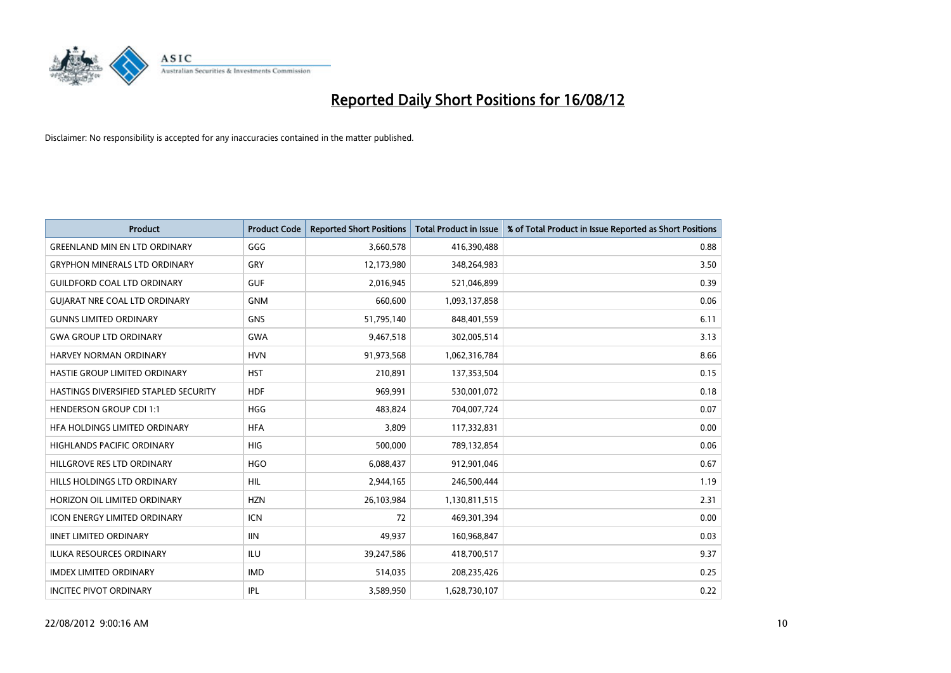

| <b>Product</b>                        | <b>Product Code</b> | <b>Reported Short Positions</b> | <b>Total Product in Issue</b> | % of Total Product in Issue Reported as Short Positions |
|---------------------------------------|---------------------|---------------------------------|-------------------------------|---------------------------------------------------------|
| <b>GREENLAND MIN EN LTD ORDINARY</b>  | GGG                 | 3,660,578                       | 416,390,488                   | 0.88                                                    |
| <b>GRYPHON MINERALS LTD ORDINARY</b>  | GRY                 | 12,173,980                      | 348,264,983                   | 3.50                                                    |
| <b>GUILDFORD COAL LTD ORDINARY</b>    | <b>GUF</b>          | 2,016,945                       | 521,046,899                   | 0.39                                                    |
| <b>GUIARAT NRE COAL LTD ORDINARY</b>  | <b>GNM</b>          | 660,600                         | 1,093,137,858                 | 0.06                                                    |
| <b>GUNNS LIMITED ORDINARY</b>         | <b>GNS</b>          | 51,795,140                      | 848,401,559                   | 6.11                                                    |
| <b>GWA GROUP LTD ORDINARY</b>         | <b>GWA</b>          | 9,467,518                       | 302,005,514                   | 3.13                                                    |
| <b>HARVEY NORMAN ORDINARY</b>         | <b>HVN</b>          | 91,973,568                      | 1,062,316,784                 | 8.66                                                    |
| HASTIE GROUP LIMITED ORDINARY         | <b>HST</b>          | 210,891                         | 137,353,504                   | 0.15                                                    |
| HASTINGS DIVERSIFIED STAPLED SECURITY | <b>HDF</b>          | 969,991                         | 530,001,072                   | 0.18                                                    |
| <b>HENDERSON GROUP CDI 1:1</b>        | <b>HGG</b>          | 483.824                         | 704,007,724                   | 0.07                                                    |
| HFA HOLDINGS LIMITED ORDINARY         | <b>HFA</b>          | 3,809                           | 117,332,831                   | 0.00                                                    |
| <b>HIGHLANDS PACIFIC ORDINARY</b>     | <b>HIG</b>          | 500,000                         | 789,132,854                   | 0.06                                                    |
| HILLGROVE RES LTD ORDINARY            | <b>HGO</b>          | 6,088,437                       | 912,901,046                   | 0.67                                                    |
| HILLS HOLDINGS LTD ORDINARY           | <b>HIL</b>          | 2,944,165                       | 246,500,444                   | 1.19                                                    |
| HORIZON OIL LIMITED ORDINARY          | <b>HZN</b>          | 26,103,984                      | 1,130,811,515                 | 2.31                                                    |
| <b>ICON ENERGY LIMITED ORDINARY</b>   | <b>ICN</b>          | 72                              | 469,301,394                   | 0.00                                                    |
| <b>IINET LIMITED ORDINARY</b>         | <b>IIN</b>          | 49,937                          | 160,968,847                   | 0.03                                                    |
| ILUKA RESOURCES ORDINARY              | ILU                 | 39,247,586                      | 418,700,517                   | 9.37                                                    |
| <b>IMDEX LIMITED ORDINARY</b>         | <b>IMD</b>          | 514,035                         | 208,235,426                   | 0.25                                                    |
| <b>INCITEC PIVOT ORDINARY</b>         | <b>IPL</b>          | 3,589,950                       | 1,628,730,107                 | 0.22                                                    |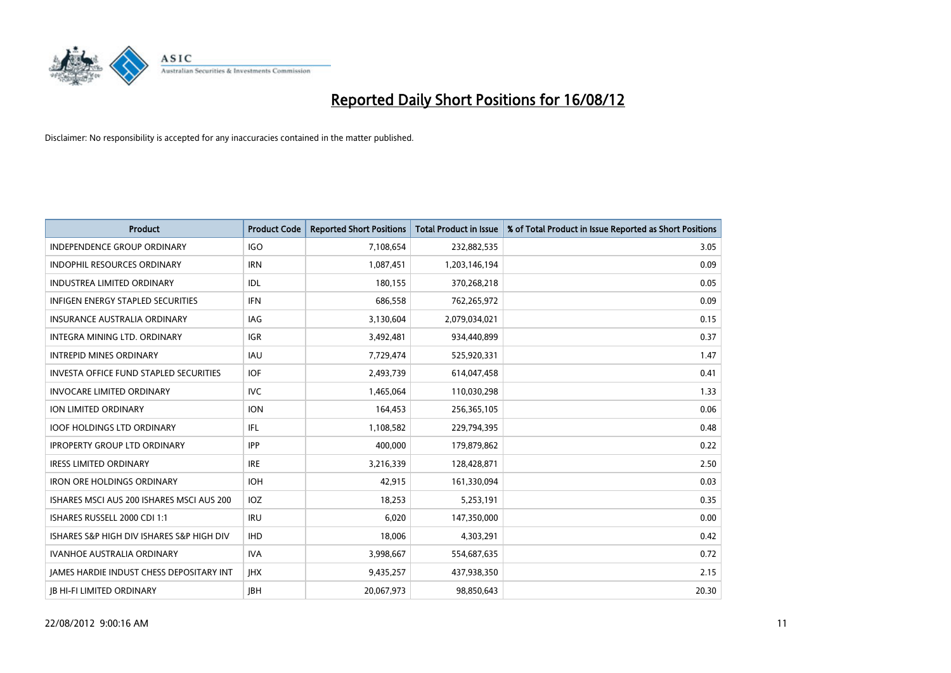

| <b>Product</b>                                  | <b>Product Code</b> | <b>Reported Short Positions</b> | <b>Total Product in Issue</b> | % of Total Product in Issue Reported as Short Positions |
|-------------------------------------------------|---------------------|---------------------------------|-------------------------------|---------------------------------------------------------|
| <b>INDEPENDENCE GROUP ORDINARY</b>              | <b>IGO</b>          | 7,108,654                       | 232,882,535                   | 3.05                                                    |
| INDOPHIL RESOURCES ORDINARY                     | <b>IRN</b>          | 1,087,451                       | 1,203,146,194                 | 0.09                                                    |
| <b>INDUSTREA LIMITED ORDINARY</b>               | IDL                 | 180,155                         | 370,268,218                   | 0.05                                                    |
| INFIGEN ENERGY STAPLED SECURITIES               | <b>IFN</b>          | 686,558                         | 762,265,972                   | 0.09                                                    |
| <b>INSURANCE AUSTRALIA ORDINARY</b>             | IAG                 | 3,130,604                       | 2,079,034,021                 | 0.15                                                    |
| INTEGRA MINING LTD, ORDINARY                    | <b>IGR</b>          | 3,492,481                       | 934,440,899                   | 0.37                                                    |
| <b>INTREPID MINES ORDINARY</b>                  | <b>IAU</b>          | 7,729,474                       | 525,920,331                   | 1.47                                                    |
| <b>INVESTA OFFICE FUND STAPLED SECURITIES</b>   | <b>IOF</b>          | 2,493,739                       | 614,047,458                   | 0.41                                                    |
| <b>INVOCARE LIMITED ORDINARY</b>                | <b>IVC</b>          | 1,465,064                       | 110,030,298                   | 1.33                                                    |
| <b>ION LIMITED ORDINARY</b>                     | <b>ION</b>          | 164,453                         | 256,365,105                   | 0.06                                                    |
| <b>IOOF HOLDINGS LTD ORDINARY</b>               | <b>IFL</b>          | 1,108,582                       | 229,794,395                   | 0.48                                                    |
| <b>IPROPERTY GROUP LTD ORDINARY</b>             | <b>IPP</b>          | 400,000                         | 179,879,862                   | 0.22                                                    |
| <b>IRESS LIMITED ORDINARY</b>                   | <b>IRE</b>          | 3,216,339                       | 128,428,871                   | 2.50                                                    |
| <b>IRON ORE HOLDINGS ORDINARY</b>               | <b>IOH</b>          | 42,915                          | 161,330,094                   | 0.03                                                    |
| ISHARES MSCI AUS 200 ISHARES MSCI AUS 200       | <b>IOZ</b>          | 18,253                          | 5,253,191                     | 0.35                                                    |
| ISHARES RUSSELL 2000 CDI 1:1                    | <b>IRU</b>          | 6,020                           | 147,350,000                   | 0.00                                                    |
| ISHARES S&P HIGH DIV ISHARES S&P HIGH DIV       | <b>IHD</b>          | 18,006                          | 4,303,291                     | 0.42                                                    |
| <b>IVANHOE AUSTRALIA ORDINARY</b>               | <b>IVA</b>          | 3,998,667                       | 554,687,635                   | 0.72                                                    |
| <b>IAMES HARDIE INDUST CHESS DEPOSITARY INT</b> | <b>IHX</b>          | 9,435,257                       | 437,938,350                   | 2.15                                                    |
| <b>IB HI-FI LIMITED ORDINARY</b>                | <b>IBH</b>          | 20,067,973                      | 98,850,643                    | 20.30                                                   |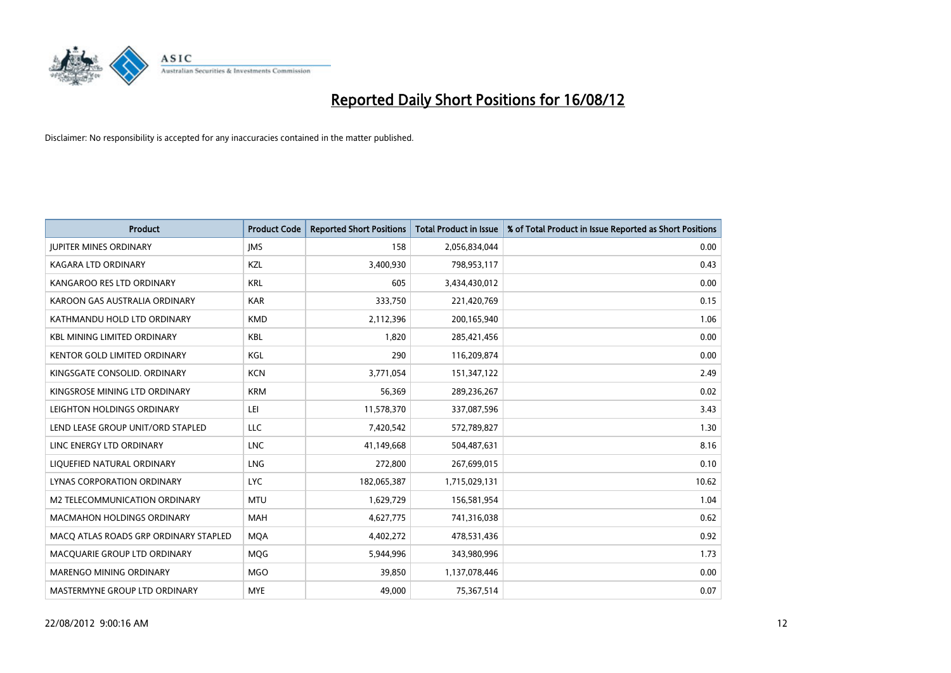

| <b>Product</b>                        | <b>Product Code</b> | <b>Reported Short Positions</b> | <b>Total Product in Issue</b> | % of Total Product in Issue Reported as Short Positions |
|---------------------------------------|---------------------|---------------------------------|-------------------------------|---------------------------------------------------------|
| <b>JUPITER MINES ORDINARY</b>         | <b>IMS</b>          | 158                             | 2,056,834,044                 | 0.00                                                    |
| <b>KAGARA LTD ORDINARY</b>            | <b>KZL</b>          | 3,400,930                       | 798,953,117                   | 0.43                                                    |
| KANGAROO RES LTD ORDINARY             | <b>KRL</b>          | 605                             | 3,434,430,012                 | 0.00                                                    |
| KAROON GAS AUSTRALIA ORDINARY         | <b>KAR</b>          | 333,750                         | 221,420,769                   | 0.15                                                    |
| KATHMANDU HOLD LTD ORDINARY           | <b>KMD</b>          | 2,112,396                       | 200,165,940                   | 1.06                                                    |
| <b>KBL MINING LIMITED ORDINARY</b>    | <b>KBL</b>          | 1,820                           | 285,421,456                   | 0.00                                                    |
| <b>KENTOR GOLD LIMITED ORDINARY</b>   | KGL                 | 290                             | 116,209,874                   | 0.00                                                    |
| KINGSGATE CONSOLID. ORDINARY          | <b>KCN</b>          | 3,771,054                       | 151,347,122                   | 2.49                                                    |
| KINGSROSE MINING LTD ORDINARY         | <b>KRM</b>          | 56,369                          | 289,236,267                   | 0.02                                                    |
| LEIGHTON HOLDINGS ORDINARY            | LEI                 | 11,578,370                      | 337,087,596                   | 3.43                                                    |
| LEND LEASE GROUP UNIT/ORD STAPLED     | <b>LLC</b>          | 7,420,542                       | 572,789,827                   | 1.30                                                    |
| LINC ENERGY LTD ORDINARY              | <b>LNC</b>          | 41,149,668                      | 504,487,631                   | 8.16                                                    |
| LIQUEFIED NATURAL ORDINARY            | <b>LNG</b>          | 272,800                         | 267,699,015                   | 0.10                                                    |
| <b>LYNAS CORPORATION ORDINARY</b>     | <b>LYC</b>          | 182,065,387                     | 1,715,029,131                 | 10.62                                                   |
| M2 TELECOMMUNICATION ORDINARY         | <b>MTU</b>          | 1,629,729                       | 156,581,954                   | 1.04                                                    |
| <b>MACMAHON HOLDINGS ORDINARY</b>     | <b>MAH</b>          | 4,627,775                       | 741,316,038                   | 0.62                                                    |
| MACO ATLAS ROADS GRP ORDINARY STAPLED | <b>MQA</b>          | 4,402,272                       | 478,531,436                   | 0.92                                                    |
| MACQUARIE GROUP LTD ORDINARY          | <b>MOG</b>          | 5,944,996                       | 343,980,996                   | 1.73                                                    |
| MARENGO MINING ORDINARY               | <b>MGO</b>          | 39,850                          | 1,137,078,446                 | 0.00                                                    |
| MASTERMYNE GROUP LTD ORDINARY         | <b>MYE</b>          | 49.000                          | 75,367,514                    | 0.07                                                    |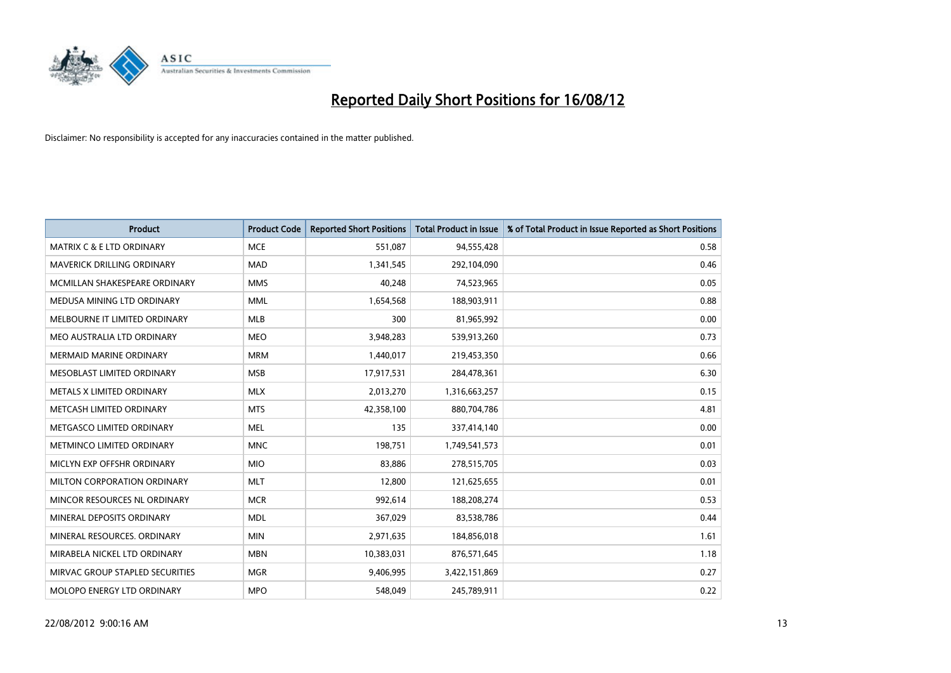

| <b>Product</b>                       | <b>Product Code</b> | <b>Reported Short Positions</b> | <b>Total Product in Issue</b> | % of Total Product in Issue Reported as Short Positions |
|--------------------------------------|---------------------|---------------------------------|-------------------------------|---------------------------------------------------------|
| <b>MATRIX C &amp; E LTD ORDINARY</b> | <b>MCE</b>          | 551,087                         | 94,555,428                    | 0.58                                                    |
| MAVERICK DRILLING ORDINARY           | <b>MAD</b>          | 1,341,545                       | 292,104,090                   | 0.46                                                    |
| MCMILLAN SHAKESPEARE ORDINARY        | <b>MMS</b>          | 40,248                          | 74,523,965                    | 0.05                                                    |
| MEDUSA MINING LTD ORDINARY           | <b>MML</b>          | 1,654,568                       | 188,903,911                   | 0.88                                                    |
| MELBOURNE IT LIMITED ORDINARY        | <b>MLB</b>          | 300                             | 81,965,992                    | 0.00                                                    |
| MEO AUSTRALIA LTD ORDINARY           | <b>MEO</b>          | 3,948,283                       | 539,913,260                   | 0.73                                                    |
| <b>MERMAID MARINE ORDINARY</b>       | <b>MRM</b>          | 1,440,017                       | 219,453,350                   | 0.66                                                    |
| MESOBLAST LIMITED ORDINARY           | <b>MSB</b>          | 17,917,531                      | 284,478,361                   | 6.30                                                    |
| METALS X LIMITED ORDINARY            | <b>MLX</b>          | 2,013,270                       | 1,316,663,257                 | 0.15                                                    |
| METCASH LIMITED ORDINARY             | <b>MTS</b>          | 42,358,100                      | 880,704,786                   | 4.81                                                    |
| METGASCO LIMITED ORDINARY            | <b>MEL</b>          | 135                             | 337,414,140                   | 0.00                                                    |
| METMINCO LIMITED ORDINARY            | <b>MNC</b>          | 198,751                         | 1,749,541,573                 | 0.01                                                    |
| MICLYN EXP OFFSHR ORDINARY           | <b>MIO</b>          | 83,886                          | 278,515,705                   | 0.03                                                    |
| MILTON CORPORATION ORDINARY          | <b>MLT</b>          | 12,800                          | 121,625,655                   | 0.01                                                    |
| MINCOR RESOURCES NL ORDINARY         | <b>MCR</b>          | 992,614                         | 188,208,274                   | 0.53                                                    |
| MINERAL DEPOSITS ORDINARY            | <b>MDL</b>          | 367,029                         | 83,538,786                    | 0.44                                                    |
| MINERAL RESOURCES. ORDINARY          | <b>MIN</b>          | 2,971,635                       | 184,856,018                   | 1.61                                                    |
| MIRABELA NICKEL LTD ORDINARY         | <b>MBN</b>          | 10,383,031                      | 876,571,645                   | 1.18                                                    |
| MIRVAC GROUP STAPLED SECURITIES      | <b>MGR</b>          | 9,406,995                       | 3,422,151,869                 | 0.27                                                    |
| MOLOPO ENERGY LTD ORDINARY           | <b>MPO</b>          | 548,049                         | 245,789,911                   | 0.22                                                    |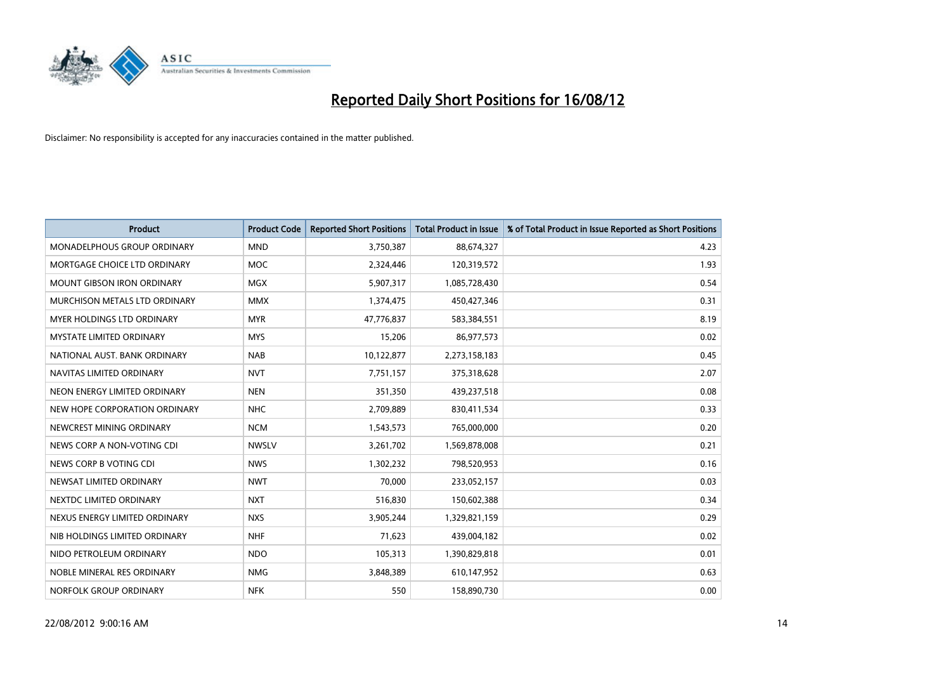

| <b>Product</b>                     | <b>Product Code</b> | <b>Reported Short Positions</b> | <b>Total Product in Issue</b> | % of Total Product in Issue Reported as Short Positions |
|------------------------------------|---------------------|---------------------------------|-------------------------------|---------------------------------------------------------|
| <b>MONADELPHOUS GROUP ORDINARY</b> | <b>MND</b>          | 3,750,387                       | 88,674,327                    | 4.23                                                    |
| MORTGAGE CHOICE LTD ORDINARY       | <b>MOC</b>          | 2,324,446                       | 120,319,572                   | 1.93                                                    |
| <b>MOUNT GIBSON IRON ORDINARY</b>  | <b>MGX</b>          | 5,907,317                       | 1,085,728,430                 | 0.54                                                    |
| MURCHISON METALS LTD ORDINARY      | <b>MMX</b>          | 1,374,475                       | 450,427,346                   | 0.31                                                    |
| MYER HOLDINGS LTD ORDINARY         | <b>MYR</b>          | 47,776,837                      | 583,384,551                   | 8.19                                                    |
| <b>MYSTATE LIMITED ORDINARY</b>    | <b>MYS</b>          | 15,206                          | 86,977,573                    | 0.02                                                    |
| NATIONAL AUST. BANK ORDINARY       | <b>NAB</b>          | 10,122,877                      | 2,273,158,183                 | 0.45                                                    |
| NAVITAS LIMITED ORDINARY           | <b>NVT</b>          | 7,751,157                       | 375,318,628                   | 2.07                                                    |
| NEON ENERGY LIMITED ORDINARY       | <b>NEN</b>          | 351,350                         | 439,237,518                   | 0.08                                                    |
| NEW HOPE CORPORATION ORDINARY      | <b>NHC</b>          | 2,709,889                       | 830,411,534                   | 0.33                                                    |
| NEWCREST MINING ORDINARY           | <b>NCM</b>          | 1,543,573                       | 765,000,000                   | 0.20                                                    |
| NEWS CORP A NON-VOTING CDI         | <b>NWSLV</b>        | 3,261,702                       | 1,569,878,008                 | 0.21                                                    |
| NEWS CORP B VOTING CDI             | <b>NWS</b>          | 1,302,232                       | 798,520,953                   | 0.16                                                    |
| NEWSAT LIMITED ORDINARY            | <b>NWT</b>          | 70,000                          | 233,052,157                   | 0.03                                                    |
| NEXTDC LIMITED ORDINARY            | <b>NXT</b>          | 516,830                         | 150,602,388                   | 0.34                                                    |
| NEXUS ENERGY LIMITED ORDINARY      | <b>NXS</b>          | 3,905,244                       | 1,329,821,159                 | 0.29                                                    |
| NIB HOLDINGS LIMITED ORDINARY      | <b>NHF</b>          | 71,623                          | 439,004,182                   | 0.02                                                    |
| NIDO PETROLEUM ORDINARY            | <b>NDO</b>          | 105,313                         | 1,390,829,818                 | 0.01                                                    |
| NOBLE MINERAL RES ORDINARY         | <b>NMG</b>          | 3,848,389                       | 610,147,952                   | 0.63                                                    |
| NORFOLK GROUP ORDINARY             | <b>NFK</b>          | 550                             | 158,890,730                   | 0.00                                                    |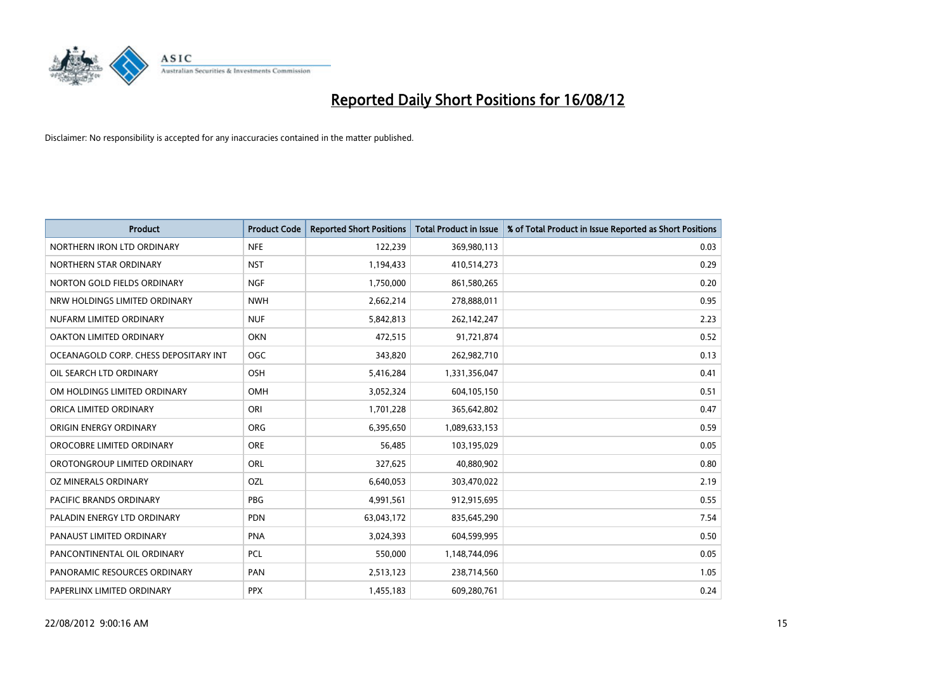

| <b>Product</b>                        | <b>Product Code</b> | <b>Reported Short Positions</b> | <b>Total Product in Issue</b> | % of Total Product in Issue Reported as Short Positions |
|---------------------------------------|---------------------|---------------------------------|-------------------------------|---------------------------------------------------------|
| NORTHERN IRON LTD ORDINARY            | <b>NFE</b>          | 122,239                         | 369,980,113                   | 0.03                                                    |
| NORTHERN STAR ORDINARY                | <b>NST</b>          | 1,194,433                       | 410,514,273                   | 0.29                                                    |
| NORTON GOLD FIELDS ORDINARY           | <b>NGF</b>          | 1,750,000                       | 861,580,265                   | 0.20                                                    |
| NRW HOLDINGS LIMITED ORDINARY         | <b>NWH</b>          | 2,662,214                       | 278,888,011                   | 0.95                                                    |
| NUFARM LIMITED ORDINARY               | <b>NUF</b>          | 5,842,813                       | 262,142,247                   | 2.23                                                    |
| OAKTON LIMITED ORDINARY               | <b>OKN</b>          | 472,515                         | 91,721,874                    | 0.52                                                    |
| OCEANAGOLD CORP. CHESS DEPOSITARY INT | OGC                 | 343,820                         | 262,982,710                   | 0.13                                                    |
| OIL SEARCH LTD ORDINARY               | <b>OSH</b>          | 5,416,284                       | 1,331,356,047                 | 0.41                                                    |
| OM HOLDINGS LIMITED ORDINARY          | <b>OMH</b>          | 3,052,324                       | 604,105,150                   | 0.51                                                    |
| ORICA LIMITED ORDINARY                | ORI                 | 1,701,228                       | 365,642,802                   | 0.47                                                    |
| ORIGIN ENERGY ORDINARY                | <b>ORG</b>          | 6,395,650                       | 1,089,633,153                 | 0.59                                                    |
| OROCOBRE LIMITED ORDINARY             | <b>ORE</b>          | 56,485                          | 103,195,029                   | 0.05                                                    |
| OROTONGROUP LIMITED ORDINARY          | <b>ORL</b>          | 327,625                         | 40,880,902                    | 0.80                                                    |
| OZ MINERALS ORDINARY                  | OZL                 | 6,640,053                       | 303,470,022                   | 2.19                                                    |
| <b>PACIFIC BRANDS ORDINARY</b>        | PBG                 | 4,991,561                       | 912,915,695                   | 0.55                                                    |
| PALADIN ENERGY LTD ORDINARY           | <b>PDN</b>          | 63,043,172                      | 835,645,290                   | 7.54                                                    |
| PANAUST LIMITED ORDINARY              | <b>PNA</b>          | 3,024,393                       | 604,599,995                   | 0.50                                                    |
| PANCONTINENTAL OIL ORDINARY           | PCL                 | 550,000                         | 1,148,744,096                 | 0.05                                                    |
| PANORAMIC RESOURCES ORDINARY          | PAN                 | 2,513,123                       | 238,714,560                   | 1.05                                                    |
| PAPERLINX LIMITED ORDINARY            | <b>PPX</b>          | 1,455,183                       | 609,280,761                   | 0.24                                                    |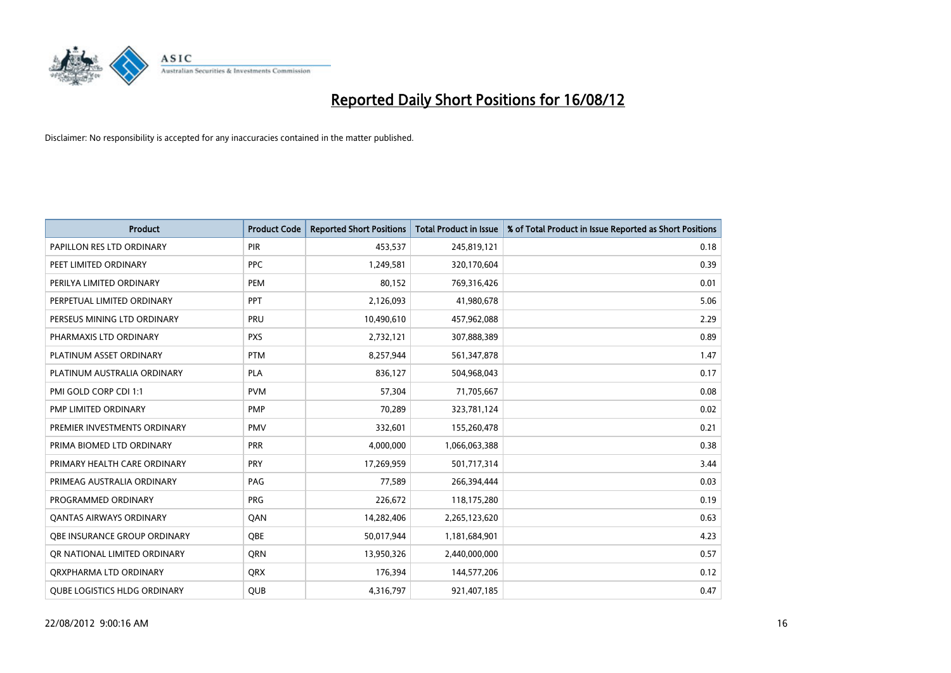

| <b>Product</b>                      | <b>Product Code</b> | <b>Reported Short Positions</b> | <b>Total Product in Issue</b> | % of Total Product in Issue Reported as Short Positions |
|-------------------------------------|---------------------|---------------------------------|-------------------------------|---------------------------------------------------------|
| PAPILLON RES LTD ORDINARY           | <b>PIR</b>          | 453,537                         | 245,819,121                   | 0.18                                                    |
| PEET LIMITED ORDINARY               | <b>PPC</b>          | 1,249,581                       | 320,170,604                   | 0.39                                                    |
| PERILYA LIMITED ORDINARY            | PEM                 | 80,152                          | 769,316,426                   | 0.01                                                    |
| PERPETUAL LIMITED ORDINARY          | <b>PPT</b>          | 2,126,093                       | 41,980,678                    | 5.06                                                    |
| PERSEUS MINING LTD ORDINARY         | PRU                 | 10,490,610                      | 457,962,088                   | 2.29                                                    |
| PHARMAXIS LTD ORDINARY              | <b>PXS</b>          | 2,732,121                       | 307,888,389                   | 0.89                                                    |
| PLATINUM ASSET ORDINARY             | <b>PTM</b>          | 8,257,944                       | 561,347,878                   | 1.47                                                    |
| PLATINUM AUSTRALIA ORDINARY         | <b>PLA</b>          | 836,127                         | 504,968,043                   | 0.17                                                    |
| PMI GOLD CORP CDI 1:1               | <b>PVM</b>          | 57,304                          | 71,705,667                    | 0.08                                                    |
| PMP LIMITED ORDINARY                | <b>PMP</b>          | 70,289                          | 323,781,124                   | 0.02                                                    |
| PREMIER INVESTMENTS ORDINARY        | <b>PMV</b>          | 332,601                         | 155,260,478                   | 0.21                                                    |
| PRIMA BIOMED LTD ORDINARY           | PRR                 | 4,000,000                       | 1,066,063,388                 | 0.38                                                    |
| PRIMARY HEALTH CARE ORDINARY        | <b>PRY</b>          | 17,269,959                      | 501,717,314                   | 3.44                                                    |
| PRIMEAG AUSTRALIA ORDINARY          | PAG                 | 77,589                          | 266,394,444                   | 0.03                                                    |
| PROGRAMMED ORDINARY                 | <b>PRG</b>          | 226,672                         | 118,175,280                   | 0.19                                                    |
| <b>QANTAS AIRWAYS ORDINARY</b>      | QAN                 | 14,282,406                      | 2,265,123,620                 | 0.63                                                    |
| <b>OBE INSURANCE GROUP ORDINARY</b> | <b>OBE</b>          | 50,017,944                      | 1,181,684,901                 | 4.23                                                    |
| OR NATIONAL LIMITED ORDINARY        | <b>ORN</b>          | 13,950,326                      | 2,440,000,000                 | 0.57                                                    |
| ORXPHARMA LTD ORDINARY              | <b>ORX</b>          | 176,394                         | 144,577,206                   | 0.12                                                    |
| <b>QUBE LOGISTICS HLDG ORDINARY</b> | QUB                 | 4,316,797                       | 921,407,185                   | 0.47                                                    |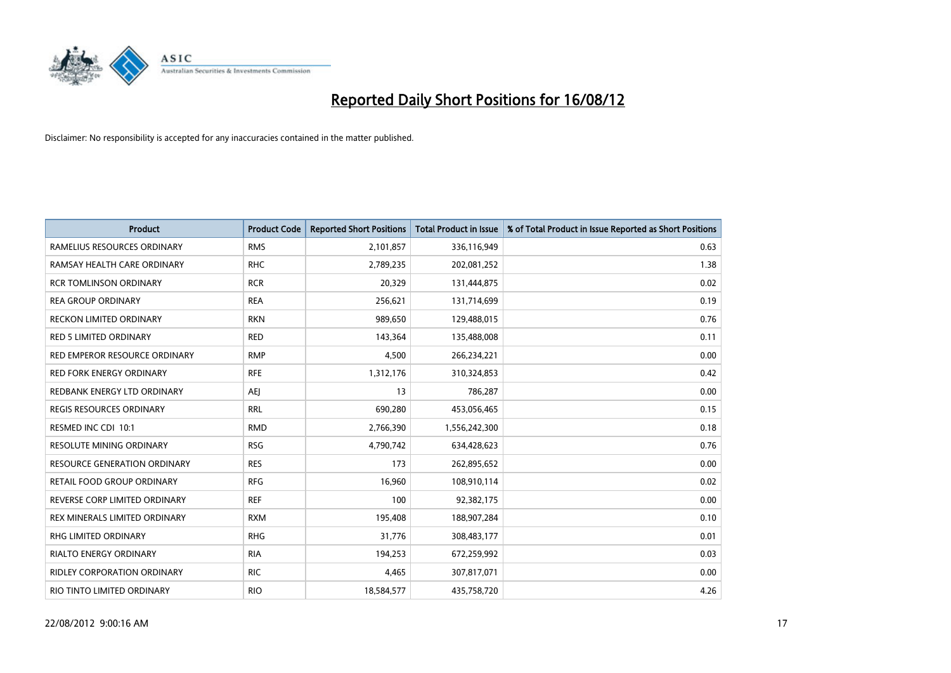

| <b>Product</b>                     | <b>Product Code</b> | <b>Reported Short Positions</b> | <b>Total Product in Issue</b> | % of Total Product in Issue Reported as Short Positions |
|------------------------------------|---------------------|---------------------------------|-------------------------------|---------------------------------------------------------|
| RAMELIUS RESOURCES ORDINARY        | <b>RMS</b>          | 2,101,857                       | 336,116,949                   | 0.63                                                    |
| RAMSAY HEALTH CARE ORDINARY        | <b>RHC</b>          | 2,789,235                       | 202,081,252                   | 1.38                                                    |
| <b>RCR TOMLINSON ORDINARY</b>      | <b>RCR</b>          | 20,329                          | 131,444,875                   | 0.02                                                    |
| <b>REA GROUP ORDINARY</b>          | <b>REA</b>          | 256,621                         | 131,714,699                   | 0.19                                                    |
| RECKON LIMITED ORDINARY            | <b>RKN</b>          | 989,650                         | 129,488,015                   | 0.76                                                    |
| <b>RED 5 LIMITED ORDINARY</b>      | <b>RED</b>          | 143,364                         | 135,488,008                   | 0.11                                                    |
| RED EMPEROR RESOURCE ORDINARY      | <b>RMP</b>          | 4,500                           | 266,234,221                   | 0.00                                                    |
| RED FORK ENERGY ORDINARY           | <b>RFE</b>          | 1,312,176                       | 310,324,853                   | 0.42                                                    |
| REDBANK ENERGY LTD ORDINARY        | AEJ                 | 13                              | 786,287                       | 0.00                                                    |
| <b>REGIS RESOURCES ORDINARY</b>    | <b>RRL</b>          | 690,280                         | 453,056,465                   | 0.15                                                    |
| RESMED INC CDI 10:1                | <b>RMD</b>          | 2,766,390                       | 1,556,242,300                 | 0.18                                                    |
| <b>RESOLUTE MINING ORDINARY</b>    | <b>RSG</b>          | 4,790,742                       | 634,428,623                   | 0.76                                                    |
| RESOURCE GENERATION ORDINARY       | <b>RES</b>          | 173                             | 262,895,652                   | 0.00                                                    |
| RETAIL FOOD GROUP ORDINARY         | <b>RFG</b>          | 16,960                          | 108,910,114                   | 0.02                                                    |
| REVERSE CORP LIMITED ORDINARY      | <b>REF</b>          | 100                             | 92,382,175                    | 0.00                                                    |
| REX MINERALS LIMITED ORDINARY      | <b>RXM</b>          | 195,408                         | 188,907,284                   | 0.10                                                    |
| RHG LIMITED ORDINARY               | <b>RHG</b>          | 31,776                          | 308,483,177                   | 0.01                                                    |
| RIALTO ENERGY ORDINARY             | <b>RIA</b>          | 194,253                         | 672,259,992                   | 0.03                                                    |
| <b>RIDLEY CORPORATION ORDINARY</b> | <b>RIC</b>          | 4,465                           | 307,817,071                   | 0.00                                                    |
| RIO TINTO LIMITED ORDINARY         | <b>RIO</b>          | 18,584,577                      | 435,758,720                   | 4.26                                                    |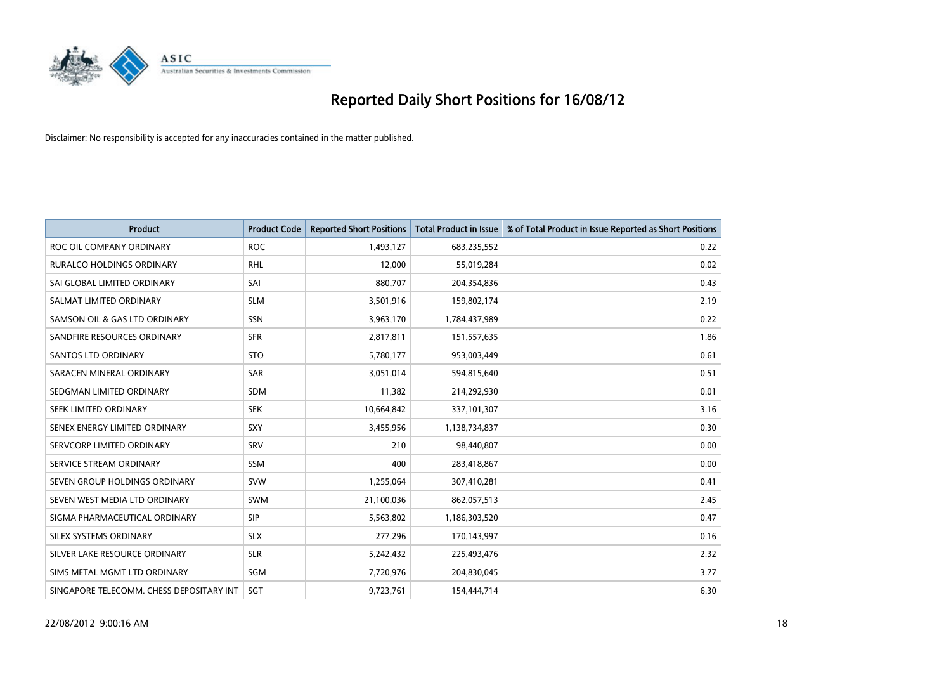

| <b>Product</b>                           | <b>Product Code</b> | <b>Reported Short Positions</b> | <b>Total Product in Issue</b> | % of Total Product in Issue Reported as Short Positions |
|------------------------------------------|---------------------|---------------------------------|-------------------------------|---------------------------------------------------------|
| ROC OIL COMPANY ORDINARY                 | <b>ROC</b>          | 1,493,127                       | 683,235,552                   | 0.22                                                    |
| <b>RURALCO HOLDINGS ORDINARY</b>         | <b>RHL</b>          | 12,000                          | 55,019,284                    | 0.02                                                    |
| SAI GLOBAL LIMITED ORDINARY              | SAI                 | 880,707                         | 204,354,836                   | 0.43                                                    |
| SALMAT LIMITED ORDINARY                  | <b>SLM</b>          | 3,501,916                       | 159,802,174                   | 2.19                                                    |
| SAMSON OIL & GAS LTD ORDINARY            | SSN                 | 3,963,170                       | 1,784,437,989                 | 0.22                                                    |
| SANDFIRE RESOURCES ORDINARY              | <b>SFR</b>          | 2,817,811                       | 151,557,635                   | 1.86                                                    |
| SANTOS LTD ORDINARY                      | <b>STO</b>          | 5,780,177                       | 953,003,449                   | 0.61                                                    |
| SARACEN MINERAL ORDINARY                 | SAR                 | 3,051,014                       | 594,815,640                   | 0.51                                                    |
| SEDGMAN LIMITED ORDINARY                 | <b>SDM</b>          | 11,382                          | 214,292,930                   | 0.01                                                    |
| SEEK LIMITED ORDINARY                    | <b>SEK</b>          | 10,664,842                      | 337,101,307                   | 3.16                                                    |
| SENEX ENERGY LIMITED ORDINARY            | <b>SXY</b>          | 3,455,956                       | 1,138,734,837                 | 0.30                                                    |
| SERVCORP LIMITED ORDINARY                | SRV                 | 210                             | 98,440,807                    | 0.00                                                    |
| SERVICE STREAM ORDINARY                  | <b>SSM</b>          | 400                             | 283,418,867                   | 0.00                                                    |
| SEVEN GROUP HOLDINGS ORDINARY            | <b>SVW</b>          | 1,255,064                       | 307,410,281                   | 0.41                                                    |
| SEVEN WEST MEDIA LTD ORDINARY            | <b>SWM</b>          | 21,100,036                      | 862,057,513                   | 2.45                                                    |
| SIGMA PHARMACEUTICAL ORDINARY            | <b>SIP</b>          | 5,563,802                       | 1,186,303,520                 | 0.47                                                    |
| SILEX SYSTEMS ORDINARY                   | <b>SLX</b>          | 277,296                         | 170,143,997                   | 0.16                                                    |
| SILVER LAKE RESOURCE ORDINARY            | <b>SLR</b>          | 5,242,432                       | 225,493,476                   | 2.32                                                    |
| SIMS METAL MGMT LTD ORDINARY             | SGM                 | 7,720,976                       | 204,830,045                   | 3.77                                                    |
| SINGAPORE TELECOMM. CHESS DEPOSITARY INT | SGT                 | 9,723,761                       | 154,444,714                   | 6.30                                                    |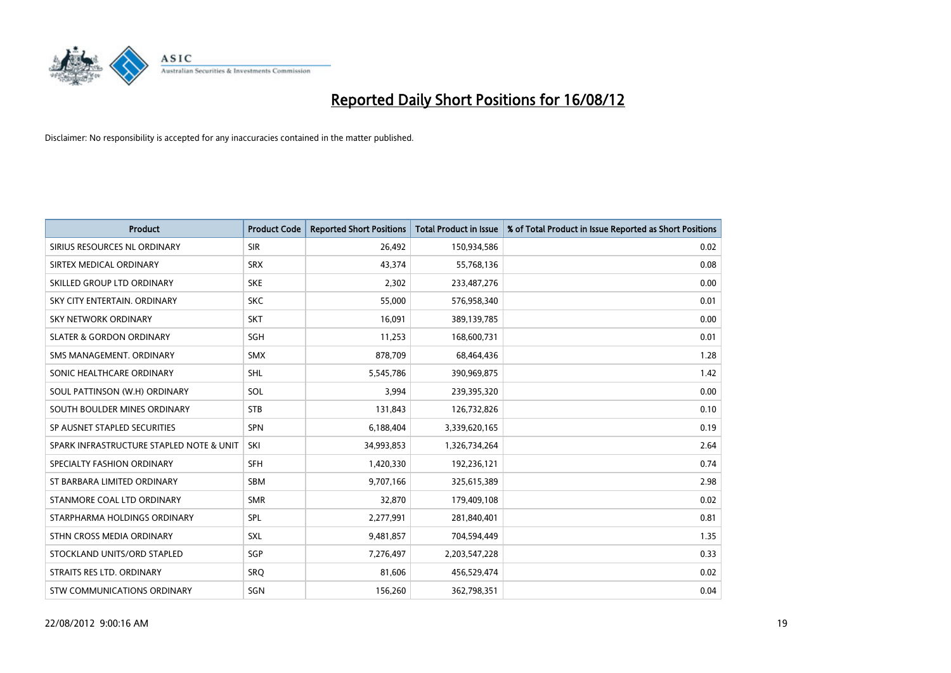

| <b>Product</b>                           | <b>Product Code</b> | <b>Reported Short Positions</b> | <b>Total Product in Issue</b> | % of Total Product in Issue Reported as Short Positions |
|------------------------------------------|---------------------|---------------------------------|-------------------------------|---------------------------------------------------------|
| SIRIUS RESOURCES NL ORDINARY             | <b>SIR</b>          | 26.492                          | 150,934,586                   | 0.02                                                    |
| SIRTEX MEDICAL ORDINARY                  | <b>SRX</b>          | 43,374                          | 55,768,136                    | 0.08                                                    |
| SKILLED GROUP LTD ORDINARY               | <b>SKE</b>          | 2,302                           | 233,487,276                   | 0.00                                                    |
| SKY CITY ENTERTAIN. ORDINARY             | <b>SKC</b>          | 55,000                          | 576,958,340                   | 0.01                                                    |
| <b>SKY NETWORK ORDINARY</b>              | <b>SKT</b>          | 16,091                          | 389,139,785                   | 0.00                                                    |
| <b>SLATER &amp; GORDON ORDINARY</b>      | SGH                 | 11,253                          | 168,600,731                   | 0.01                                                    |
| SMS MANAGEMENT, ORDINARY                 | <b>SMX</b>          | 878,709                         | 68,464,436                    | 1.28                                                    |
| SONIC HEALTHCARE ORDINARY                | <b>SHL</b>          | 5,545,786                       | 390,969,875                   | 1.42                                                    |
| SOUL PATTINSON (W.H) ORDINARY            | SOL                 | 3,994                           | 239,395,320                   | 0.00                                                    |
| SOUTH BOULDER MINES ORDINARY             | <b>STB</b>          | 131,843                         | 126,732,826                   | 0.10                                                    |
| SP AUSNET STAPLED SECURITIES             | <b>SPN</b>          | 6,188,404                       | 3,339,620,165                 | 0.19                                                    |
| SPARK INFRASTRUCTURE STAPLED NOTE & UNIT | SKI                 | 34,993,853                      | 1,326,734,264                 | 2.64                                                    |
| SPECIALTY FASHION ORDINARY               | <b>SFH</b>          | 1,420,330                       | 192,236,121                   | 0.74                                                    |
| ST BARBARA LIMITED ORDINARY              | <b>SBM</b>          | 9,707,166                       | 325,615,389                   | 2.98                                                    |
| STANMORE COAL LTD ORDINARY               | <b>SMR</b>          | 32,870                          | 179,409,108                   | 0.02                                                    |
| STARPHARMA HOLDINGS ORDINARY             | SPL                 | 2,277,991                       | 281,840,401                   | 0.81                                                    |
| STHN CROSS MEDIA ORDINARY                | <b>SXL</b>          | 9,481,857                       | 704,594,449                   | 1.35                                                    |
| STOCKLAND UNITS/ORD STAPLED              | SGP                 | 7,276,497                       | 2,203,547,228                 | 0.33                                                    |
| STRAITS RES LTD. ORDINARY                | SRO                 | 81,606                          | 456,529,474                   | 0.02                                                    |
| STW COMMUNICATIONS ORDINARY              | SGN                 | 156,260                         | 362,798,351                   | 0.04                                                    |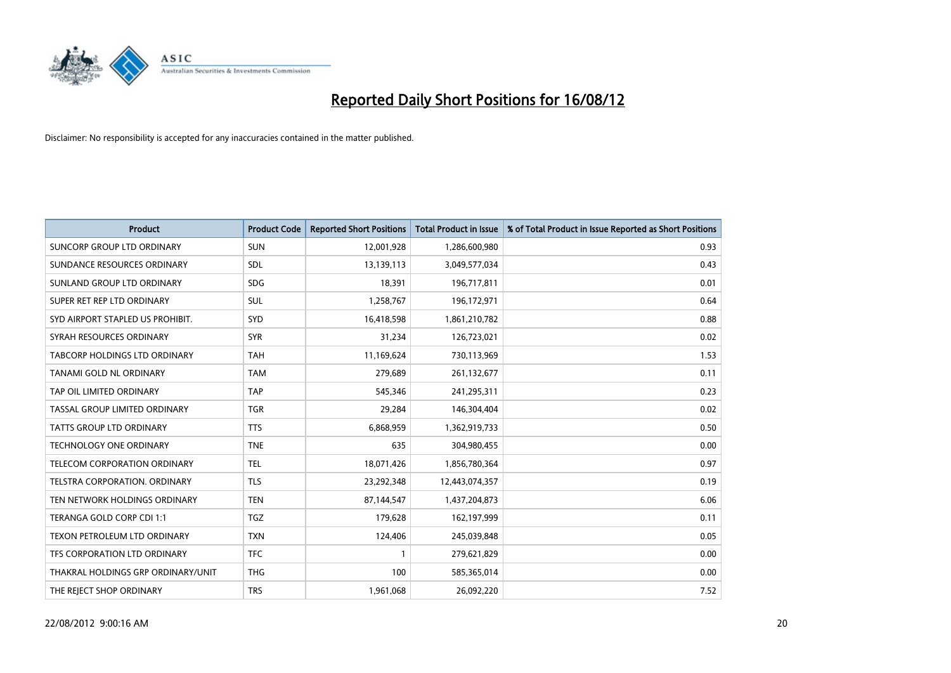

| <b>Product</b>                       | <b>Product Code</b> | <b>Reported Short Positions</b> | <b>Total Product in Issue</b> | % of Total Product in Issue Reported as Short Positions |
|--------------------------------------|---------------------|---------------------------------|-------------------------------|---------------------------------------------------------|
| SUNCORP GROUP LTD ORDINARY           | <b>SUN</b>          | 12,001,928                      | 1,286,600,980                 | 0.93                                                    |
| SUNDANCE RESOURCES ORDINARY          | <b>SDL</b>          | 13,139,113                      | 3,049,577,034                 | 0.43                                                    |
| SUNLAND GROUP LTD ORDINARY           | <b>SDG</b>          | 18,391                          | 196,717,811                   | 0.01                                                    |
| SUPER RET REP LTD ORDINARY           | <b>SUL</b>          | 1,258,767                       | 196, 172, 971                 | 0.64                                                    |
| SYD AIRPORT STAPLED US PROHIBIT.     | <b>SYD</b>          | 16,418,598                      | 1,861,210,782                 | 0.88                                                    |
| SYRAH RESOURCES ORDINARY             | <b>SYR</b>          | 31,234                          | 126,723,021                   | 0.02                                                    |
| <b>TABCORP HOLDINGS LTD ORDINARY</b> | <b>TAH</b>          | 11,169,624                      | 730,113,969                   | 1.53                                                    |
| TANAMI GOLD NL ORDINARY              | <b>TAM</b>          | 279,689                         | 261,132,677                   | 0.11                                                    |
| TAP OIL LIMITED ORDINARY             | <b>TAP</b>          | 545,346                         | 241,295,311                   | 0.23                                                    |
| TASSAL GROUP LIMITED ORDINARY        | <b>TGR</b>          | 29,284                          | 146,304,404                   | 0.02                                                    |
| TATTS GROUP LTD ORDINARY             | <b>TTS</b>          | 6,868,959                       | 1,362,919,733                 | 0.50                                                    |
| <b>TECHNOLOGY ONE ORDINARY</b>       | <b>TNE</b>          | 635                             | 304,980,455                   | 0.00                                                    |
| <b>TELECOM CORPORATION ORDINARY</b>  | <b>TEL</b>          | 18,071,426                      | 1,856,780,364                 | 0.97                                                    |
| <b>TELSTRA CORPORATION, ORDINARY</b> | <b>TLS</b>          | 23,292,348                      | 12,443,074,357                | 0.19                                                    |
| TEN NETWORK HOLDINGS ORDINARY        | <b>TEN</b>          | 87,144,547                      | 1,437,204,873                 | 6.06                                                    |
| TERANGA GOLD CORP CDI 1:1            | <b>TGZ</b>          | 179,628                         | 162,197,999                   | 0.11                                                    |
| TEXON PETROLEUM LTD ORDINARY         | <b>TXN</b>          | 124,406                         | 245,039,848                   | 0.05                                                    |
| TFS CORPORATION LTD ORDINARY         | <b>TFC</b>          |                                 | 279,621,829                   | 0.00                                                    |
| THAKRAL HOLDINGS GRP ORDINARY/UNIT   | <b>THG</b>          | 100                             | 585,365,014                   | 0.00                                                    |
| THE REJECT SHOP ORDINARY             | <b>TRS</b>          | 1,961,068                       | 26,092,220                    | 7.52                                                    |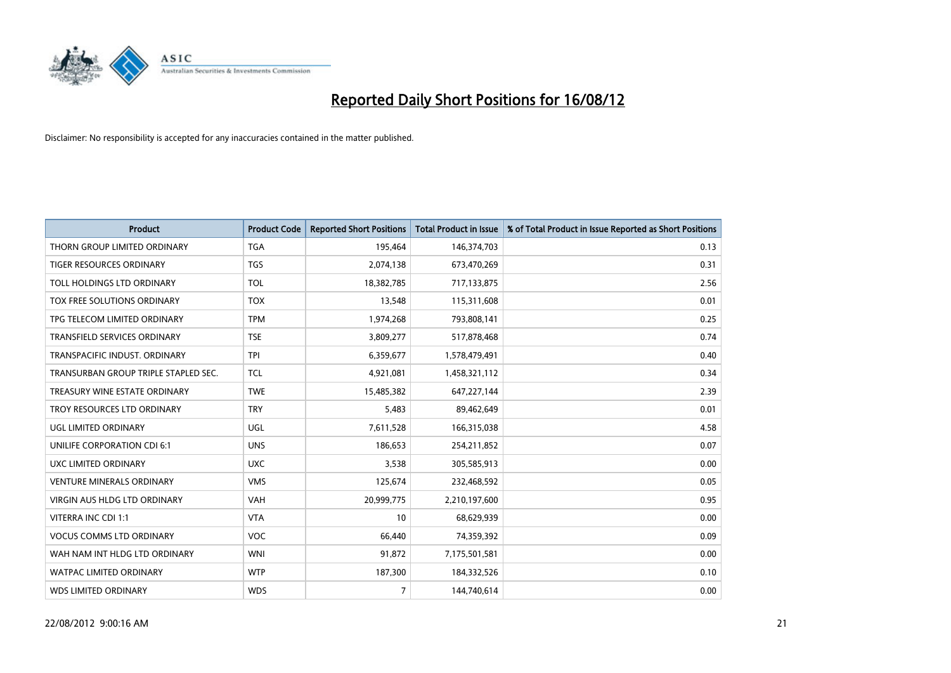

| <b>Product</b>                       | <b>Product Code</b> | <b>Reported Short Positions</b> | <b>Total Product in Issue</b> | % of Total Product in Issue Reported as Short Positions |
|--------------------------------------|---------------------|---------------------------------|-------------------------------|---------------------------------------------------------|
| THORN GROUP LIMITED ORDINARY         | <b>TGA</b>          | 195,464                         | 146,374,703                   | 0.13                                                    |
| TIGER RESOURCES ORDINARY             | <b>TGS</b>          | 2,074,138                       | 673,470,269                   | 0.31                                                    |
| TOLL HOLDINGS LTD ORDINARY           | <b>TOL</b>          | 18,382,785                      | 717,133,875                   | 2.56                                                    |
| TOX FREE SOLUTIONS ORDINARY          | <b>TOX</b>          | 13,548                          | 115,311,608                   | 0.01                                                    |
| TPG TELECOM LIMITED ORDINARY         | <b>TPM</b>          | 1,974,268                       | 793,808,141                   | 0.25                                                    |
| TRANSFIELD SERVICES ORDINARY         | <b>TSE</b>          | 3,809,277                       | 517,878,468                   | 0.74                                                    |
| TRANSPACIFIC INDUST. ORDINARY        | <b>TPI</b>          | 6,359,677                       | 1,578,479,491                 | 0.40                                                    |
| TRANSURBAN GROUP TRIPLE STAPLED SEC. | <b>TCL</b>          | 4,921,081                       | 1,458,321,112                 | 0.34                                                    |
| TREASURY WINE ESTATE ORDINARY        | <b>TWE</b>          | 15,485,382                      | 647,227,144                   | 2.39                                                    |
| TROY RESOURCES LTD ORDINARY          | <b>TRY</b>          | 5,483                           | 89,462,649                    | 0.01                                                    |
| UGL LIMITED ORDINARY                 | UGL                 | 7,611,528                       | 166,315,038                   | 4.58                                                    |
| UNILIFE CORPORATION CDI 6:1          | <b>UNS</b>          | 186,653                         | 254,211,852                   | 0.07                                                    |
| UXC LIMITED ORDINARY                 | <b>UXC</b>          | 3,538                           | 305,585,913                   | 0.00                                                    |
| <b>VENTURE MINERALS ORDINARY</b>     | <b>VMS</b>          | 125,674                         | 232,468,592                   | 0.05                                                    |
| <b>VIRGIN AUS HLDG LTD ORDINARY</b>  | <b>VAH</b>          | 20,999,775                      | 2,210,197,600                 | 0.95                                                    |
| VITERRA INC CDI 1:1                  | <b>VTA</b>          | 10                              | 68,629,939                    | 0.00                                                    |
| <b>VOCUS COMMS LTD ORDINARY</b>      | <b>VOC</b>          | 66,440                          | 74,359,392                    | 0.09                                                    |
| WAH NAM INT HLDG LTD ORDINARY        | <b>WNI</b>          | 91,872                          | 7,175,501,581                 | 0.00                                                    |
| <b>WATPAC LIMITED ORDINARY</b>       | <b>WTP</b>          | 187,300                         | 184,332,526                   | 0.10                                                    |
| <b>WDS LIMITED ORDINARY</b>          | <b>WDS</b>          | $\overline{7}$                  | 144,740,614                   | 0.00                                                    |